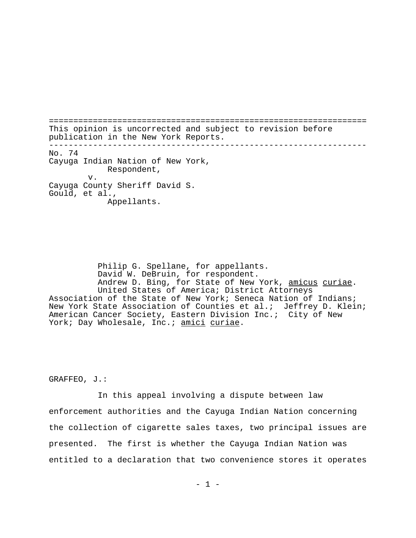================================================================= This opinion is uncorrected and subject to revision before publication in the New York Reports. ----------------------------------------------------------------- No. 74 Cayuga Indian Nation of New York, Respondent, v. Cayuga County Sheriff David S. Gould, et al., Appellants.

Philip G. Spellane, for appellants. David W. DeBruin, for respondent. Andrew D. Bing, for State of New York, amicus curiae.<br>United States of America; District Attorneys Association of the State of New York; Seneca Nation of Indians; New York State Association of Counties et al.; Jeffrey D. Klein; American Cancer Society, Eastern Division Inc.; City of New York; Day Wholesale, Inc.; amici curiae.

GRAFFEO, J.:

In this appeal involving a dispute between law enforcement authorities and the Cayuga Indian Nation concerning the collection of cigarette sales taxes, two principal issues are presented. The first is whether the Cayuga Indian Nation was entitled to a declaration that two convenience stores it operates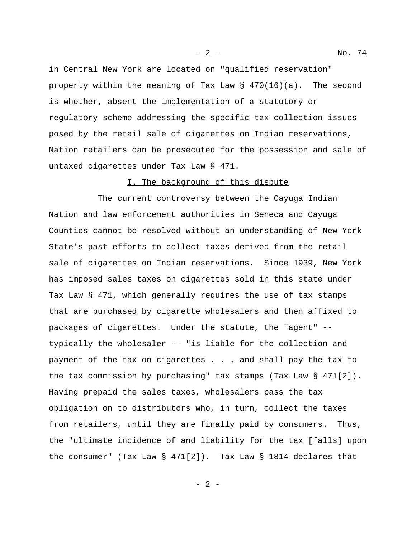in Central New York are located on "qualified reservation" property within the meaning of Tax Law § 470(16)(a). The second is whether, absent the implementation of a statutory or regulatory scheme addressing the specific tax collection issues posed by the retail sale of cigarettes on Indian reservations, Nation retailers can be prosecuted for the possession and sale of untaxed cigarettes under Tax Law § 471.

## I. The background of this dispute

The current controversy between the Cayuga Indian Nation and law enforcement authorities in Seneca and Cayuga Counties cannot be resolved without an understanding of New York State's past efforts to collect taxes derived from the retail sale of cigarettes on Indian reservations. Since 1939, New York has imposed sales taxes on cigarettes sold in this state under Tax Law § 471, which generally requires the use of tax stamps that are purchased by cigarette wholesalers and then affixed to packages of cigarettes. Under the statute, the "agent" - typically the wholesaler -- "is liable for the collection and payment of the tax on cigarettes . . . and shall pay the tax to the tax commission by purchasing" tax stamps (Tax Law § 471[2]). Having prepaid the sales taxes, wholesalers pass the tax obligation on to distributors who, in turn, collect the taxes from retailers, until they are finally paid by consumers. Thus, the "ultimate incidence of and liability for the tax [falls] upon the consumer" (Tax Law § 471[2]). Tax Law § 1814 declares that

- 2 - No. 74

- 2 -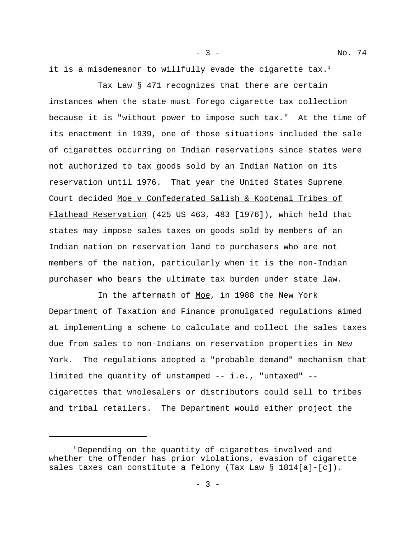it is a misdemeanor to willfully evade the cigarette  $\text{tax.}^{1}$ 

Tax Law § 471 recognizes that there are certain instances when the state must forego cigarette tax collection because it is "without power to impose such tax." At the time of its enactment in 1939, one of those situations included the sale of cigarettes occurring on Indian reservations since states were not authorized to tax goods sold by an Indian Nation on its reservation until 1976. That year the United States Supreme Court decided Moe v Confederated Salish & Kootenai Tribes of Flathead Reservation (425 US 463, 483 [1976]), which held that states may impose sales taxes on goods sold by members of an Indian nation on reservation land to purchasers who are not members of the nation, particularly when it is the non-Indian purchaser who bears the ultimate tax burden under state law.

In the aftermath of Moe, in 1988 the New York Department of Taxation and Finance promulgated regulations aimed at implementing a scheme to calculate and collect the sales taxes due from sales to non-Indians on reservation properties in New York. The regulations adopted a "probable demand" mechanism that limited the quantity of unstamped -- i.e., "untaxed" - cigarettes that wholesalers or distributors could sell to tribes and tribal retailers. The Department would either project the

 $- 3 -$ 

<sup>&</sup>lt;sup>1</sup> Depending on the quantity of cigarettes involved and whether the offender has prior violations, evasion of cigarette sales taxes can constitute a felony (Tax Law § 1814[a]-[c]).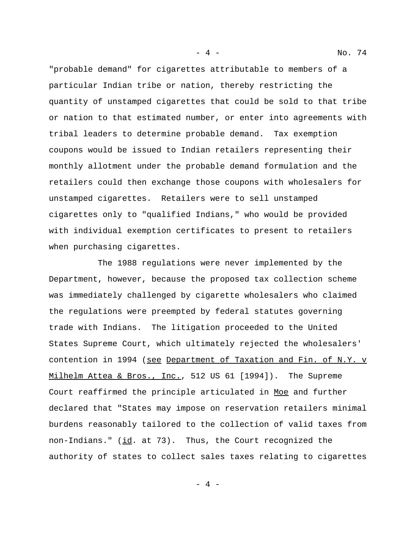"probable demand" for cigarettes attributable to members of a particular Indian tribe or nation, thereby restricting the quantity of unstamped cigarettes that could be sold to that tribe or nation to that estimated number, or enter into agreements with tribal leaders to determine probable demand. Tax exemption coupons would be issued to Indian retailers representing their monthly allotment under the probable demand formulation and the retailers could then exchange those coupons with wholesalers for unstamped cigarettes. Retailers were to sell unstamped cigarettes only to "qualified Indians," who would be provided with individual exemption certificates to present to retailers when purchasing cigarettes.

The 1988 regulations were never implemented by the Department, however, because the proposed tax collection scheme was immediately challenged by cigarette wholesalers who claimed the regulations were preempted by federal statutes governing trade with Indians. The litigation proceeded to the United States Supreme Court, which ultimately rejected the wholesalers' contention in 1994 (see Department of Taxation and Fin. of N.Y. v Milhelm Attea & Bros., Inc., 512 US 61 [1994]). The Supreme Court reaffirmed the principle articulated in Moe and further declared that "States may impose on reservation retailers minimal burdens reasonably tailored to the collection of valid taxes from non-Indians." (id. at 73). Thus, the Court recognized the authority of states to collect sales taxes relating to cigarettes

 $-4 -$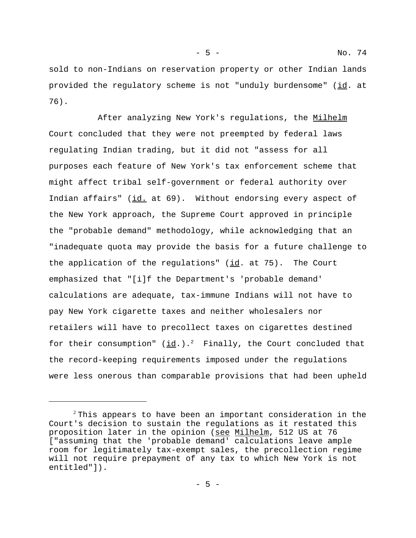sold to non-Indians on reservation property or other Indian lands provided the regulatory scheme is not "unduly burdensome" (id. at 76).

After analyzing New York's regulations, the Milhelm Court concluded that they were not preempted by federal laws regulating Indian trading, but it did not "assess for all purposes each feature of New York's tax enforcement scheme that might affect tribal self-government or federal authority over Indian affairs" (id. at 69). Without endorsing every aspect of the New York approach, the Supreme Court approved in principle the "probable demand" methodology, while acknowledging that an "inadequate quota may provide the basis for a future challenge to the application of the regulations"  $(id.$  at 75). The Court emphasized that "[i]f the Department's 'probable demand' calculations are adequate, tax-immune Indians will not have to pay New York cigarette taxes and neither wholesalers nor retailers will have to precollect taxes on cigarettes destined for their consumption"  $(\underline{id}, \cdot) \cdot$ <sup>2</sup> Finally, the Court concluded that the record-keeping requirements imposed under the regulations were less onerous than comparable provisions that had been upheld

 $2$ This appears to have been an important consideration in the Court's decision to sustain the regulations as it restated this proposition later in the opinion (see Milhelm, 512 US at 76 ["assuming that the 'probable demand' calculations leave ample room for legitimately tax-exempt sales, the precollection regime will not require prepayment of any tax to which New York is not entitled"]).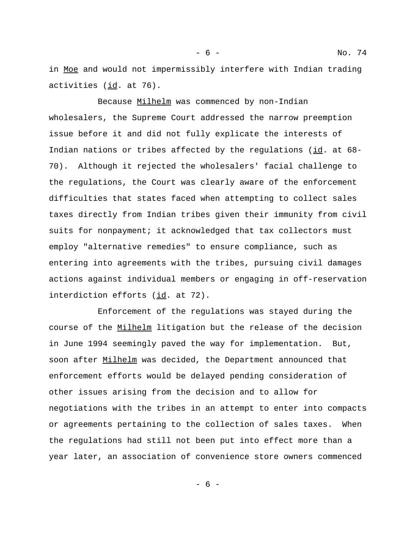Because Milhelm was commenced by non-Indian wholesalers, the Supreme Court addressed the narrow preemption issue before it and did not fully explicate the interests of Indian nations or tribes affected by the regulations (id. at 68- 70). Although it rejected the wholesalers' facial challenge to the regulations, the Court was clearly aware of the enforcement difficulties that states faced when attempting to collect sales taxes directly from Indian tribes given their immunity from civil suits for nonpayment; it acknowledged that tax collectors must employ "alternative remedies" to ensure compliance, such as entering into agreements with the tribes, pursuing civil damages actions against individual members or engaging in off-reservation interdiction efforts (id. at 72).

Enforcement of the regulations was stayed during the course of the Milhelm litigation but the release of the decision in June 1994 seemingly paved the way for implementation. But, soon after Milhelm was decided, the Department announced that enforcement efforts would be delayed pending consideration of other issues arising from the decision and to allow for negotiations with the tribes in an attempt to enter into compacts or agreements pertaining to the collection of sales taxes. When the regulations had still not been put into effect more than a year later, an association of convenience store owners commenced

- 6 -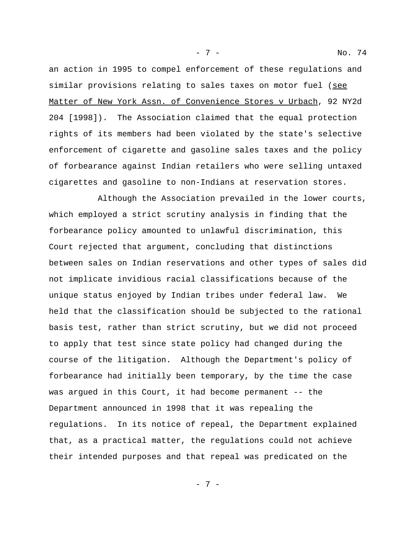an action in 1995 to compel enforcement of these regulations and similar provisions relating to sales taxes on motor fuel (see Matter of New York Assn. of Convenience Stores v Urbach, 92 NY2d 204 [1998]). The Association claimed that the equal protection rights of its members had been violated by the state's selective enforcement of cigarette and gasoline sales taxes and the policy of forbearance against Indian retailers who were selling untaxed cigarettes and gasoline to non-Indians at reservation stores.

- 7 - No. 74

Although the Association prevailed in the lower courts, which employed a strict scrutiny analysis in finding that the forbearance policy amounted to unlawful discrimination, this Court rejected that argument, concluding that distinctions between sales on Indian reservations and other types of sales did not implicate invidious racial classifications because of the unique status enjoyed by Indian tribes under federal law. We held that the classification should be subjected to the rational basis test, rather than strict scrutiny, but we did not proceed to apply that test since state policy had changed during the course of the litigation. Although the Department's policy of forbearance had initially been temporary, by the time the case was argued in this Court, it had become permanent -- the Department announced in 1998 that it was repealing the regulations. In its notice of repeal, the Department explained that, as a practical matter, the regulations could not achieve their intended purposes and that repeal was predicated on the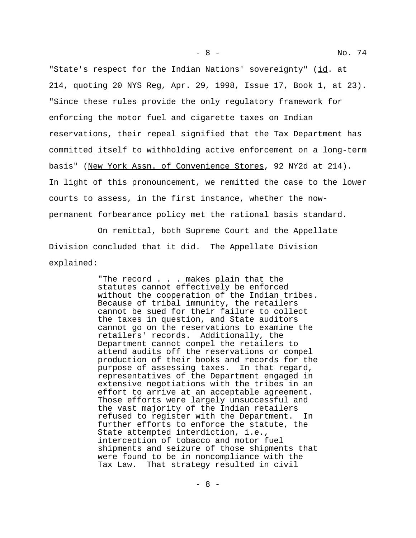"State's respect for the Indian Nations' sovereignty" (id. at 214, quoting 20 NYS Reg, Apr. 29, 1998, Issue 17, Book 1, at 23). "Since these rules provide the only regulatory framework for enforcing the motor fuel and cigarette taxes on Indian reservations, their repeal signified that the Tax Department has committed itself to withholding active enforcement on a long-term basis" (New York Assn. of Convenience Stores, 92 NY2d at 214). In light of this pronouncement, we remitted the case to the lower courts to assess, in the first instance, whether the nowpermanent forbearance policy met the rational basis standard.

On remittal, both Supreme Court and the Appellate Division concluded that it did. The Appellate Division explained:

> "The record . . . makes plain that the statutes cannot effectively be enforced without the cooperation of the Indian tribes. Because of tribal immunity, the retailers cannot be sued for their failure to collect the taxes in question, and State auditors cannot go on the reservations to examine the retailers' records. Additionally, the Department cannot compel the retailers to attend audits off the reservations or compel production of their books and records for the purpose of assessing taxes. In that regard, representatives of the Department engaged in extensive negotiations with the tribes in an effort to arrive at an acceptable agreement. Those efforts were largely unsuccessful and the vast majority of the Indian retailers refused to register with the Department. In further efforts to enforce the statute, the State attempted interdiction, i.e., interception of tobacco and motor fuel shipments and seizure of those shipments that were found to be in noncompliance with the Tax Law. That strategy resulted in civil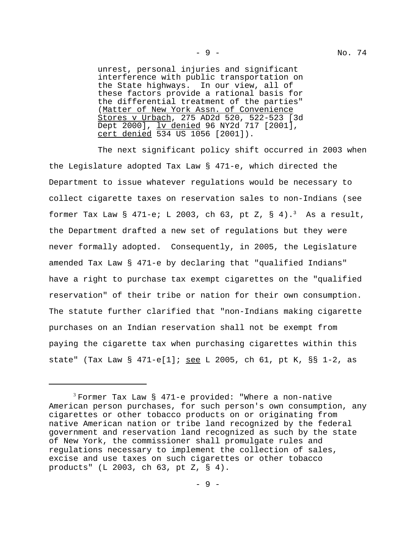unrest, personal injuries and significant interference with public transportation on the State highways. In our view, all of these factors provide a rational basis for the differential treatment of the parties" (Matter of New York Assn. of Convenience Stores v Urbach, 275 AD2d 520, 522-523 [3d Dept 2000], <u>lv denied</u> 96 NY2d 717 [2001], cert denied 534 US 1056 [2001]).

The next significant policy shift occurred in 2003 when the Legislature adopted Tax Law § 471-e, which directed the Department to issue whatever regulations would be necessary to collect cigarette taxes on reservation sales to non-Indians (see former Tax Law  $\S$  471-e; L 2003, ch 63, pt Z,  $\S$  4).<sup>3</sup> As a result, the Department drafted a new set of regulations but they were never formally adopted. Consequently, in 2005, the Legislature amended Tax Law § 471-e by declaring that "qualified Indians" have a right to purchase tax exempt cigarettes on the "qualified reservation" of their tribe or nation for their own consumption. The statute further clarified that "non-Indians making cigarette purchases on an Indian reservation shall not be exempt from paying the cigarette tax when purchasing cigarettes within this state" (Tax Law § 471-e[1]; see L 2005, ch 61, pt K, §§ 1-2, as

 $3$  Former Tax Law § 471-e provided: "Where a non-native American person purchases, for such person's own consumption, any cigarettes or other tobacco products on or originating from native American nation or tribe land recognized by the federal government and reservation land recognized as such by the state of New York, the commissioner shall promulgate rules and regulations necessary to implement the collection of sales, excise and use taxes on such cigarettes or other tobacco products" (L 2003, ch 63, pt Z, § 4).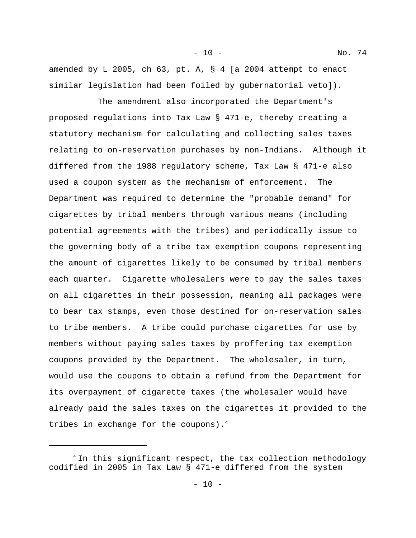amended by L 2005, ch 63, pt. A, § 4 [a 2004 attempt to enact similar legislation had been foiled by gubernatorial veto]).

- 10 - No. 74

The amendment also incorporated the Department's proposed regulations into Tax Law § 471-e, thereby creating a statutory mechanism for calculating and collecting sales taxes relating to on-reservation purchases by non-Indians. Although it differed from the 1988 regulatory scheme, Tax Law § 471-e also used a coupon system as the mechanism of enforcement. The Department was required to determine the "probable demand" for cigarettes by tribal members through various means (including potential agreements with the tribes) and periodically issue to the governing body of a tribe tax exemption coupons representing the amount of cigarettes likely to be consumed by tribal members each quarter. Cigarette wholesalers were to pay the sales taxes on all cigarettes in their possession, meaning all packages were to bear tax stamps, even those destined for on-reservation sales to tribe members. A tribe could purchase cigarettes for use by members without paying sales taxes by proffering tax exemption coupons provided by the Department. The wholesaler, in turn, would use the coupons to obtain a refund from the Department for its overpayment of cigarette taxes (the wholesaler would have already paid the sales taxes on the cigarettes it provided to the tribes in exchange for the coupons). $4$ 

<sup>&</sup>lt;sup>4</sup> In this significant respect, the tax collection methodology codified in 2005 in Tax Law § 471-e differed from the system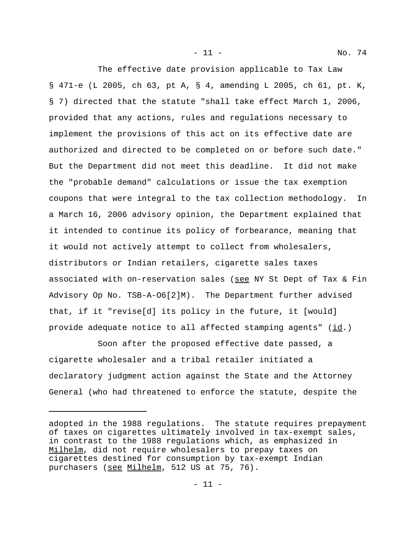- 11 - No. 74

The effective date provision applicable to Tax Law § 471-e (L 2005, ch 63, pt A, § 4, amending L 2005, ch 61, pt. K, § 7) directed that the statute "shall take effect March 1, 2006, provided that any actions, rules and regulations necessary to implement the provisions of this act on its effective date are authorized and directed to be completed on or before such date." But the Department did not meet this deadline. It did not make the "probable demand" calculations or issue the tax exemption coupons that were integral to the tax collection methodology. In a March 16, 2006 advisory opinion, the Department explained that it intended to continue its policy of forbearance, meaning that it would not actively attempt to collect from wholesalers, distributors or Indian retailers, cigarette sales taxes associated with on-reservation sales (see NY St Dept of Tax & Fin Advisory Op No. TSB-A-O6[2]M). The Department further advised that, if it "revise[d] its policy in the future, it [would] provide adequate notice to all affected stamping agents"  $(id.)$ 

Soon after the proposed effective date passed, a cigarette wholesaler and a tribal retailer initiated a declaratory judgment action against the State and the Attorney General (who had threatened to enforce the statute, despite the

adopted in the 1988 regulations. The statute requires prepayment of taxes on cigarettes ultimately involved in tax-exempt sales, in contrast to the 1988 regulations which, as emphasized in Milhelm, did not require wholesalers to prepay taxes on cigarettes destined for consumption by tax-exempt Indian purchasers (see Milhelm, 512 US at 75, 76).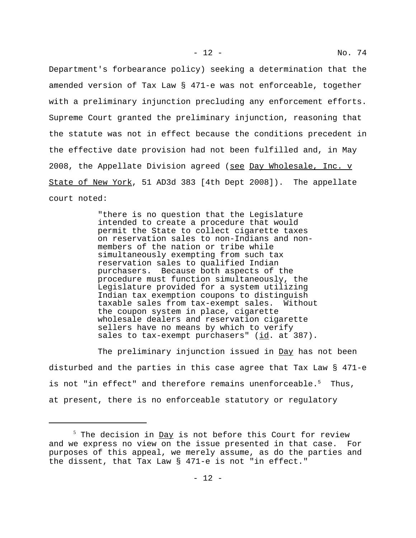Department's forbearance policy) seeking a determination that the amended version of Tax Law § 471-e was not enforceable, together with a preliminary injunction precluding any enforcement efforts. Supreme Court granted the preliminary injunction, reasoning that the statute was not in effect because the conditions precedent in the effective date provision had not been fulfilled and, in May 2008, the Appellate Division agreed (see Day Wholesale, Inc. v State of New York, 51 AD3d 383 [4th Dept 2008]). The appellate court noted:

> "there is no question that the Legislature intended to create a procedure that would permit the State to collect cigarette taxes on reservation sales to non-Indians and nonmembers of the nation or tribe while simultaneously exempting from such tax reservation sales to qualified Indian purchasers. Because both aspects of the procedure must function simultaneously, the Legislature provided for a system utilizing Indian tax exemption coupons to distinguish taxable sales from tax-exempt sales. Without the coupon system in place, cigarette wholesale dealers and reservation cigarette sellers have no means by which to verify sales to tax-exempt purchasers" (id. at 387).

The preliminary injunction issued in Day has not been disturbed and the parties in this case agree that Tax Law § 471-e is not "in effect" and therefore remains unenforceable.<sup>5</sup> Thus, at present, there is no enforceable statutory or regulatory

 $^5$  The decision in <u>Day</u> is not before this Court for review and we express no view on the issue presented in that case. For purposes of this appeal, we merely assume, as do the parties and the dissent, that Tax Law § 471-e is not "in effect."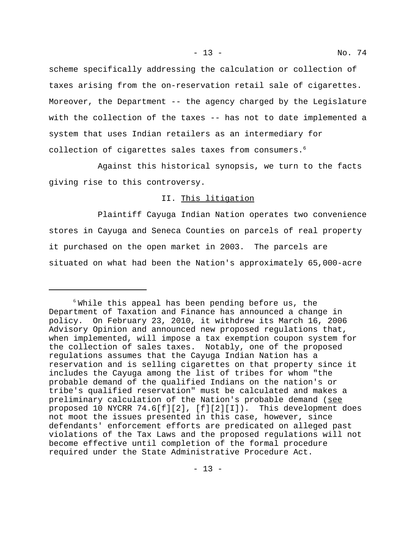scheme specifically addressing the calculation or collection of taxes arising from the on-reservation retail sale of cigarettes. Moreover, the Department -- the agency charged by the Legislature with the collection of the taxes -- has not to date implemented a system that uses Indian retailers as an intermediary for collection of cigarettes sales taxes from consumers.<sup>6</sup>

Against this historical synopsis, we turn to the facts giving rise to this controversy.

## II. This litigation

Plaintiff Cayuga Indian Nation operates two convenience stores in Cayuga and Seneca Counties on parcels of real property it purchased on the open market in 2003. The parcels are situated on what had been the Nation's approximately 65,000-acre

 $6$  While this appeal has been pending before us, the Department of Taxation and Finance has announced a change in policy. On February 23, 2010, it withdrew its March 16, 2006 Advisory Opinion and announced new proposed regulations that, when implemented, will impose a tax exemption coupon system for the collection of sales taxes. Notably, one of the proposed regulations assumes that the Cayuga Indian Nation has a reservation and is selling cigarettes on that property since it includes the Cayuga among the list of tribes for whom "the probable demand of the qualified Indians on the nation's or tribe's qualified reservation" must be calculated and makes a preliminary calculation of the Nation's probable demand (see proposed 10 NYCRR 74.6[f][2], [f][2][I]). This development does not moot the issues presented in this case, however, since defendants' enforcement efforts are predicated on alleged past violations of the Tax Laws and the proposed regulations will not become effective until completion of the formal procedure required under the State Administrative Procedure Act.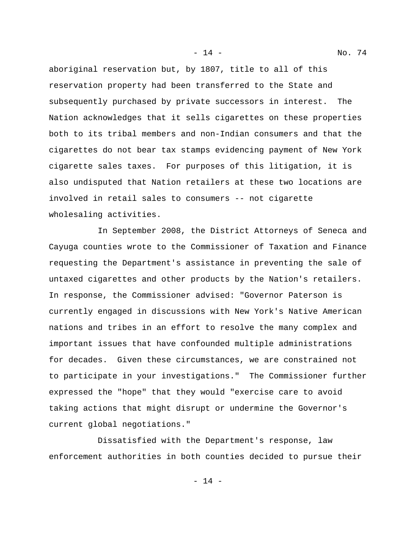aboriginal reservation but, by 1807, title to all of this reservation property had been transferred to the State and subsequently purchased by private successors in interest. The Nation acknowledges that it sells cigarettes on these properties both to its tribal members and non-Indian consumers and that the cigarettes do not bear tax stamps evidencing payment of New York cigarette sales taxes. For purposes of this litigation, it is also undisputed that Nation retailers at these two locations are involved in retail sales to consumers -- not cigarette wholesaling activities.

In September 2008, the District Attorneys of Seneca and Cayuga counties wrote to the Commissioner of Taxation and Finance requesting the Department's assistance in preventing the sale of untaxed cigarettes and other products by the Nation's retailers. In response, the Commissioner advised: "Governor Paterson is currently engaged in discussions with New York's Native American nations and tribes in an effort to resolve the many complex and important issues that have confounded multiple administrations for decades. Given these circumstances, we are constrained not to participate in your investigations." The Commissioner further expressed the "hope" that they would "exercise care to avoid taking actions that might disrupt or undermine the Governor's current global negotiations."

Dissatisfied with the Department's response, law enforcement authorities in both counties decided to pursue their

- 14 -

- 14 - No. 74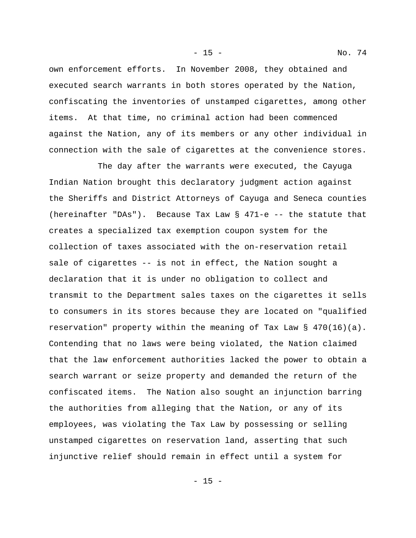own enforcement efforts. In November 2008, they obtained and executed search warrants in both stores operated by the Nation, confiscating the inventories of unstamped cigarettes, among other items. At that time, no criminal action had been commenced against the Nation, any of its members or any other individual in connection with the sale of cigarettes at the convenience stores.

The day after the warrants were executed, the Cayuga Indian Nation brought this declaratory judgment action against the Sheriffs and District Attorneys of Cayuga and Seneca counties (hereinafter "DAs"). Because Tax Law § 471-e -- the statute that creates a specialized tax exemption coupon system for the collection of taxes associated with the on-reservation retail sale of cigarettes -- is not in effect, the Nation sought a declaration that it is under no obligation to collect and transmit to the Department sales taxes on the cigarettes it sells to consumers in its stores because they are located on "qualified reservation" property within the meaning of Tax Law  $\S$  470(16)(a). Contending that no laws were being violated, the Nation claimed that the law enforcement authorities lacked the power to obtain a search warrant or seize property and demanded the return of the confiscated items. The Nation also sought an injunction barring the authorities from alleging that the Nation, or any of its employees, was violating the Tax Law by possessing or selling unstamped cigarettes on reservation land, asserting that such injunctive relief should remain in effect until a system for

- 15 - No. 74

- 15 -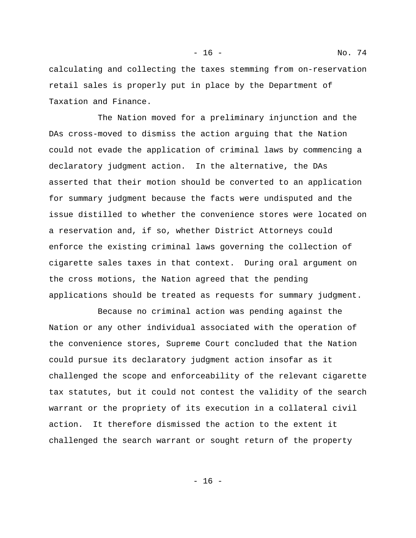calculating and collecting the taxes stemming from on-reservation retail sales is properly put in place by the Department of Taxation and Finance.

The Nation moved for a preliminary injunction and the DAs cross-moved to dismiss the action arguing that the Nation could not evade the application of criminal laws by commencing a declaratory judgment action. In the alternative, the DAs asserted that their motion should be converted to an application for summary judgment because the facts were undisputed and the issue distilled to whether the convenience stores were located on a reservation and, if so, whether District Attorneys could enforce the existing criminal laws governing the collection of cigarette sales taxes in that context. During oral argument on the cross motions, the Nation agreed that the pending applications should be treated as requests for summary judgment.

Because no criminal action was pending against the Nation or any other individual associated with the operation of the convenience stores, Supreme Court concluded that the Nation could pursue its declaratory judgment action insofar as it challenged the scope and enforceability of the relevant cigarette tax statutes, but it could not contest the validity of the search warrant or the propriety of its execution in a collateral civil action. It therefore dismissed the action to the extent it challenged the search warrant or sought return of the property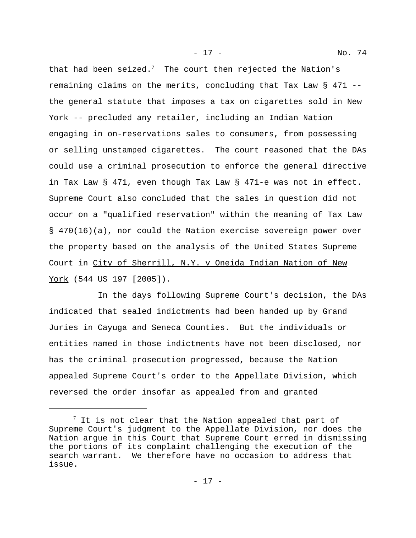- 17 - No. 74

that had been seized.<sup>7</sup> The court then rejected the Nation's remaining claims on the merits, concluding that Tax Law § 471 - the general statute that imposes a tax on cigarettes sold in New York -- precluded any retailer, including an Indian Nation engaging in on-reservations sales to consumers, from possessing or selling unstamped cigarettes. The court reasoned that the DAs could use a criminal prosecution to enforce the general directive in Tax Law § 471, even though Tax Law § 471-e was not in effect. Supreme Court also concluded that the sales in question did not occur on a "qualified reservation" within the meaning of Tax Law § 470(16)(a), nor could the Nation exercise sovereign power over the property based on the analysis of the United States Supreme Court in City of Sherrill, N.Y. v Oneida Indian Nation of New York (544 US 197 [2005]).

In the days following Supreme Court's decision, the DAs indicated that sealed indictments had been handed up by Grand Juries in Cayuga and Seneca Counties. But the individuals or entities named in those indictments have not been disclosed, nor has the criminal prosecution progressed, because the Nation appealed Supreme Court's order to the Appellate Division, which reversed the order insofar as appealed from and granted

 $^7$  It is not clear that the Nation appealed that part of Supreme Court's judgment to the Appellate Division, nor does the Nation argue in this Court that Supreme Court erred in dismissing the portions of its complaint challenging the execution of the search warrant. We therefore have no occasion to address that issue.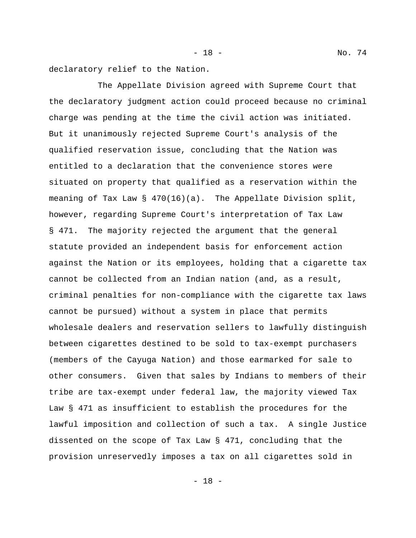- 18 - No. 74

declaratory relief to the Nation.

The Appellate Division agreed with Supreme Court that the declaratory judgment action could proceed because no criminal charge was pending at the time the civil action was initiated. But it unanimously rejected Supreme Court's analysis of the qualified reservation issue, concluding that the Nation was entitled to a declaration that the convenience stores were situated on property that qualified as a reservation within the meaning of Tax Law  $\S$  470(16)(a). The Appellate Division split, however, regarding Supreme Court's interpretation of Tax Law § 471. The majority rejected the argument that the general statute provided an independent basis for enforcement action against the Nation or its employees, holding that a cigarette tax cannot be collected from an Indian nation (and, as a result, criminal penalties for non-compliance with the cigarette tax laws cannot be pursued) without a system in place that permits wholesale dealers and reservation sellers to lawfully distinguish between cigarettes destined to be sold to tax-exempt purchasers (members of the Cayuga Nation) and those earmarked for sale to other consumers. Given that sales by Indians to members of their tribe are tax-exempt under federal law, the majority viewed Tax Law § 471 as insufficient to establish the procedures for the lawful imposition and collection of such a tax. A single Justice dissented on the scope of Tax Law § 471, concluding that the provision unreservedly imposes a tax on all cigarettes sold in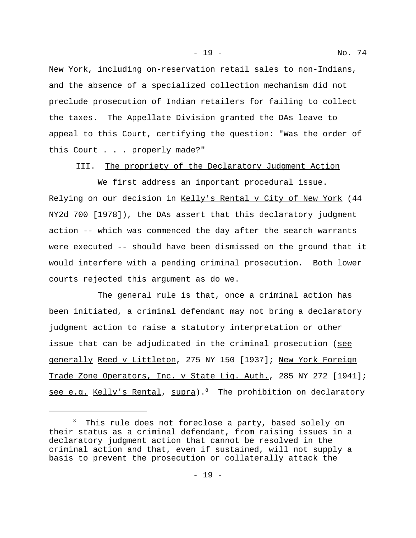- 19 - No. 74

New York, including on-reservation retail sales to non-Indians, and the absence of a specialized collection mechanism did not preclude prosecution of Indian retailers for failing to collect the taxes. The Appellate Division granted the DAs leave to appeal to this Court, certifying the question: "Was the order of this Court . . . properly made?"

III. The propriety of the Declaratory Judgment Action

We first address an important procedural issue. Relying on our decision in Kelly's Rental v City of New York (44 NY2d 700 [1978]), the DAs assert that this declaratory judgment action -- which was commenced the day after the search warrants were executed -- should have been dismissed on the ground that it would interfere with a pending criminal prosecution. Both lower courts rejected this argument as do we.

The general rule is that, once a criminal action has been initiated, a criminal defendant may not bring a declaratory judgment action to raise a statutory interpretation or other issue that can be adjudicated in the criminal prosecution (see generally Reed v Littleton, 275 NY 150 [1937]; New York Foreign Trade Zone Operators, Inc. v State Liq. Auth., 285 NY 272 [1941]; see e.g. Kelly's Rental, supra).<sup>8</sup> The prohibition on declaratory

<sup>8</sup> This rule does not foreclose a party, based solely on their status as a criminal defendant, from raising issues in a declaratory judgment action that cannot be resolved in the criminal action and that, even if sustained, will not supply a basis to prevent the prosecution or collaterally attack the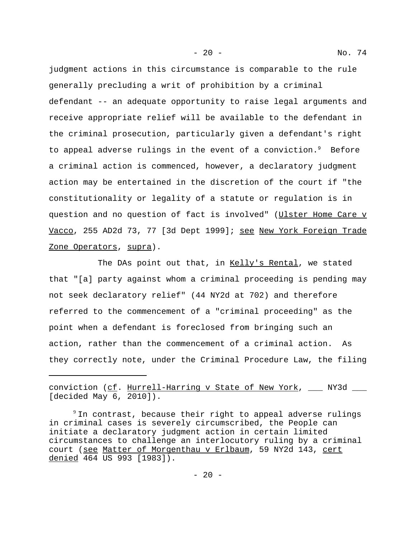judgment actions in this circumstance is comparable to the rule generally precluding a writ of prohibition by a criminal defendant -- an adequate opportunity to raise legal arguments and receive appropriate relief will be available to the defendant in the criminal prosecution, particularly given a defendant's right to appeal adverse rulings in the event of a conviction. $9$  Before a criminal action is commenced, however, a declaratory judgment action may be entertained in the discretion of the court if "the constitutionality or legality of a statute or regulation is in question and no question of fact is involved" (Ulster Home Care v Vacco, 255 AD2d 73, 77 [3d Dept 1999]; see New York Foreign Trade Zone Operators, supra).

The DAs point out that, in Kelly's Rental, we stated that "[a] party against whom a criminal proceeding is pending may not seek declaratory relief" (44 NY2d at 702) and therefore referred to the commencement of a "criminal proceeding" as the point when a defendant is foreclosed from bringing such an action, rather than the commencement of a criminal action. As they correctly note, under the Criminal Procedure Law, the filing

conviction (cf. Hurrell-Harring v State of New York, \_\_\_ NY3d \_\_\_ [decided May 6, 2010]).

 $9$  In contrast, because their right to appeal adverse rulings in criminal cases is severely circumscribed, the People can initiate a declaratory judgment action in certain limited circumstances to challenge an interlocutory ruling by a criminal court (see Matter of Morgenthau v Erlbaum, 59 NY2d 143, cert denied 464 US 993 [1983]).

- 20 - No. 74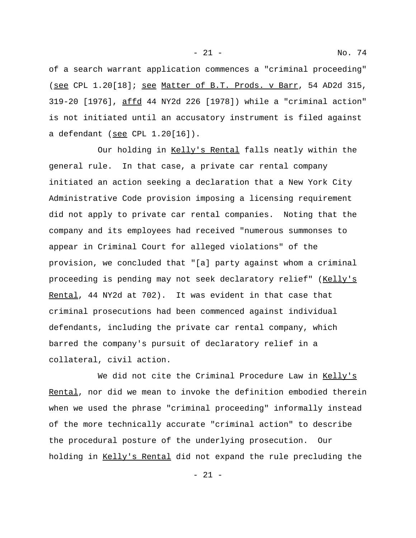- 21 - No. 74

of a search warrant application commences a "criminal proceeding" (see CPL 1.20[18]; see Matter of B.T. Prods. v Barr, 54 AD2d 315, 319-20 [1976], affd 44 NY2d 226 [1978]) while a "criminal action" is not initiated until an accusatory instrument is filed against a defendant (see CPL 1.20[16]).

Our holding in Kelly's Rental falls neatly within the general rule. In that case, a private car rental company initiated an action seeking a declaration that a New York City Administrative Code provision imposing a licensing requirement did not apply to private car rental companies. Noting that the company and its employees had received "numerous summonses to appear in Criminal Court for alleged violations" of the provision, we concluded that "[a] party against whom a criminal proceeding is pending may not seek declaratory relief" (Kelly's Rental, 44 NY2d at 702). It was evident in that case that criminal prosecutions had been commenced against individual defendants, including the private car rental company, which barred the company's pursuit of declaratory relief in a collateral, civil action.

We did not cite the Criminal Procedure Law in Kelly's Rental, nor did we mean to invoke the definition embodied therein when we used the phrase "criminal proceeding" informally instead of the more technically accurate "criminal action" to describe the procedural posture of the underlying prosecution. Our holding in Kelly's Rental did not expand the rule precluding the

- 21 -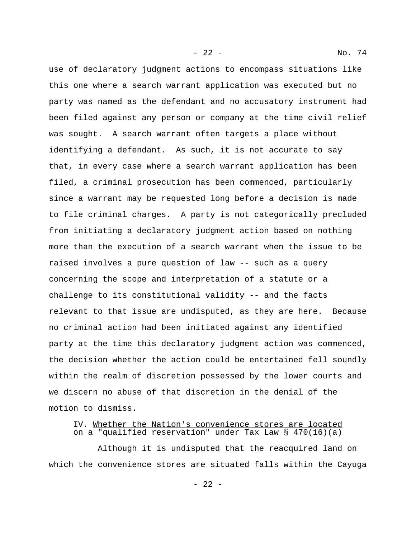use of declaratory judgment actions to encompass situations like this one where a search warrant application was executed but no party was named as the defendant and no accusatory instrument had been filed against any person or company at the time civil relief was sought. A search warrant often targets a place without identifying a defendant. As such, it is not accurate to say that, in every case where a search warrant application has been filed, a criminal prosecution has been commenced, particularly since a warrant may be requested long before a decision is made to file criminal charges. A party is not categorically precluded from initiating a declaratory judgment action based on nothing more than the execution of a search warrant when the issue to be raised involves a pure question of law -- such as a query concerning the scope and interpretation of a statute or a challenge to its constitutional validity -- and the facts relevant to that issue are undisputed, as they are here. Because no criminal action had been initiated against any identified party at the time this declaratory judgment action was commenced, the decision whether the action could be entertained fell soundly within the realm of discretion possessed by the lower courts and we discern no abuse of that discretion in the denial of the motion to dismiss.

## IV. Whether the Nation's convenience stores are located on a "qualified reservation" under Tax Law § 470(16)(a)

Although it is undisputed that the reacquired land on which the convenience stores are situated falls within the Cayuga

- 22 - No. 74

- 22 -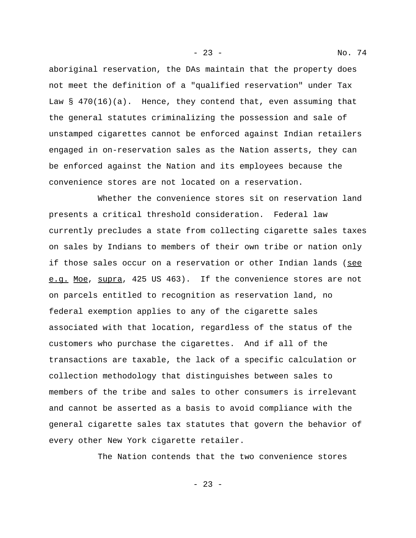aboriginal reservation, the DAs maintain that the property does not meet the definition of a "qualified reservation" under Tax Law  $\S$  470(16)(a). Hence, they contend that, even assuming that the general statutes criminalizing the possession and sale of unstamped cigarettes cannot be enforced against Indian retailers engaged in on-reservation sales as the Nation asserts, they can be enforced against the Nation and its employees because the convenience stores are not located on a reservation.

Whether the convenience stores sit on reservation land presents a critical threshold consideration. Federal law currently precludes a state from collecting cigarette sales taxes on sales by Indians to members of their own tribe or nation only if those sales occur on a reservation or other Indian lands (see e.g. Moe, supra, 425 US 463). If the convenience stores are not on parcels entitled to recognition as reservation land, no federal exemption applies to any of the cigarette sales associated with that location, regardless of the status of the customers who purchase the cigarettes. And if all of the transactions are taxable, the lack of a specific calculation or collection methodology that distinguishes between sales to members of the tribe and sales to other consumers is irrelevant and cannot be asserted as a basis to avoid compliance with the general cigarette sales tax statutes that govern the behavior of every other New York cigarette retailer.

The Nation contends that the two convenience stores

 $- 23 -$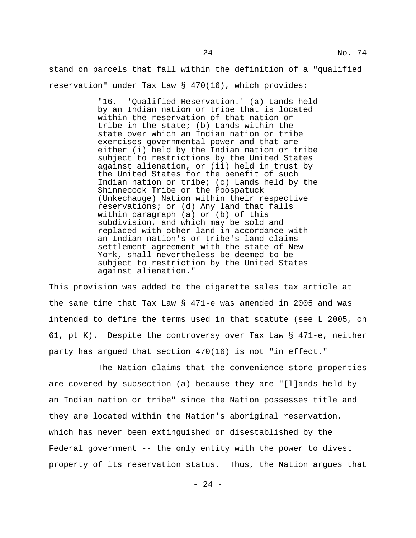stand on parcels that fall within the definition of a "qualified reservation" under Tax Law § 470(16), which provides:

> "16. 'Qualified Reservation.' (a) Lands held by an Indian nation or tribe that is located within the reservation of that nation or tribe in the state; (b) Lands within the state over which an Indian nation or tribe exercises governmental power and that are either (i) held by the Indian nation or tribe subject to restrictions by the United States against alienation, or (ii) held in trust by the United States for the benefit of such Indian nation or tribe; (c) Lands held by the Shinnecock Tribe or the Poospatuck (Unkechauge) Nation within their respective reservations; or (d) Any land that falls within paragraph (a) or (b) of this subdivision, and which may be sold and replaced with other land in accordance with an Indian nation's or tribe's land claims settlement agreement with the state of New York, shall nevertheless be deemed to be subject to restriction by the United States against alienation."

This provision was added to the cigarette sales tax article at the same time that Tax Law § 471-e was amended in 2005 and was intended to define the terms used in that statute (see L 2005, ch 61, pt K). Despite the controversy over Tax Law § 471-e, neither party has argued that section 470(16) is not "in effect."

The Nation claims that the convenience store properties are covered by subsection (a) because they are "[l]ands held by an Indian nation or tribe" since the Nation possesses title and they are located within the Nation's aboriginal reservation, which has never been extinguished or disestablished by the Federal government -- the only entity with the power to divest property of its reservation status. Thus, the Nation argues that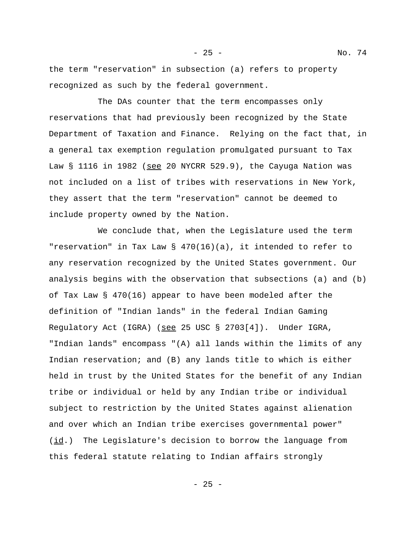the term "reservation" in subsection (a) refers to property recognized as such by the federal government.

The DAs counter that the term encompasses only reservations that had previously been recognized by the State Department of Taxation and Finance. Relying on the fact that, in a general tax exemption regulation promulgated pursuant to Tax Law  $\S$  1116 in 1982 (see 20 NYCRR 529.9), the Cayuga Nation was not included on a list of tribes with reservations in New York, they assert that the term "reservation" cannot be deemed to include property owned by the Nation.

We conclude that, when the Legislature used the term "reservation" in Tax Law § 470(16)(a), it intended to refer to any reservation recognized by the United States government. Our analysis begins with the observation that subsections (a) and (b) of Tax Law § 470(16) appear to have been modeled after the definition of "Indian lands" in the federal Indian Gaming Regulatory Act (IGRA) (see 25 USC § 2703[4]). Under IGRA, "Indian lands" encompass "(A) all lands within the limits of any Indian reservation; and (B) any lands title to which is either held in trust by the United States for the benefit of any Indian tribe or individual or held by any Indian tribe or individual subject to restriction by the United States against alienation and over which an Indian tribe exercises governmental power"  $(i_d)$  The Legislature's decision to borrow the language from this federal statute relating to Indian affairs strongly

 $- 25 -$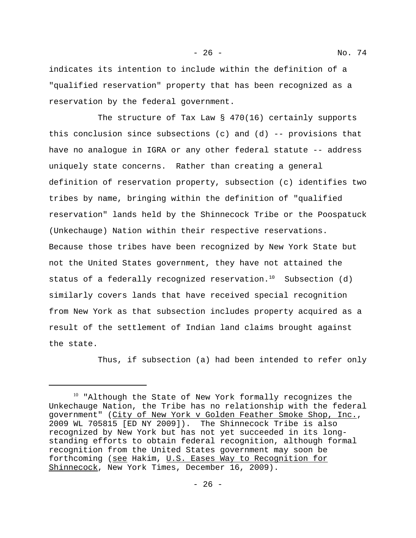- 26 - No. 74

indicates its intention to include within the definition of a "qualified reservation" property that has been recognized as a reservation by the federal government.

The structure of Tax Law  $\S$  470(16) certainly supports this conclusion since subsections (c) and  $(d)$  -- provisions that have no analogue in IGRA or any other federal statute -- address uniquely state concerns. Rather than creating a general definition of reservation property, subsection (c) identifies two tribes by name, bringing within the definition of "qualified reservation" lands held by the Shinnecock Tribe or the Poospatuck (Unkechauge) Nation within their respective reservations. Because those tribes have been recognized by New York State but not the United States government, they have not attained the status of a federally recognized reservation.<sup>10</sup> Subsection (d) similarly covers lands that have received special recognition from New York as that subsection includes property acquired as a result of the settlement of Indian land claims brought against the state.

Thus, if subsection (a) had been intended to refer only

<sup>&</sup>lt;sup>10</sup> "Although the State of New York formally recognizes the Unkechauge Nation, the Tribe has no relationship with the federal government" (City of New York v Golden Feather Smoke Shop, Inc., 2009 WL 705815 [ED NY 2009]). The Shinnecock Tribe is also recognized by New York but has not yet succeeded in its longstanding efforts to obtain federal recognition, although formal recognition from the United States government may soon be forthcoming (see Hakim, U.S. Eases Way to Recognition for Shinnecock, New York Times, December 16, 2009).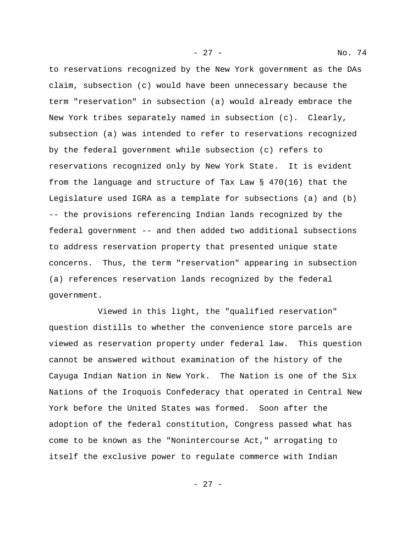to reservations recognized by the New York government as the DAs claim, subsection (c) would have been unnecessary because the term "reservation" in subsection (a) would already embrace the New York tribes separately named in subsection (c). Clearly, subsection (a) was intended to refer to reservations recognized by the federal government while subsection (c) refers to reservations recognized only by New York State. It is evident from the language and structure of Tax Law § 470(16) that the Legislature used IGRA as a template for subsections (a) and (b) -- the provisions referencing Indian lands recognized by the federal government -- and then added two additional subsections to address reservation property that presented unique state concerns. Thus, the term "reservation" appearing in subsection (a) references reservation lands recognized by the federal government.

Viewed in this light, the "qualified reservation" question distills to whether the convenience store parcels are viewed as reservation property under federal law. This question cannot be answered without examination of the history of the Cayuga Indian Nation in New York. The Nation is one of the Six Nations of the Iroquois Confederacy that operated in Central New York before the United States was formed. Soon after the adoption of the federal constitution, Congress passed what has come to be known as the "Nonintercourse Act," arrogating to itself the exclusive power to regulate commerce with Indian

- 27 - No. 74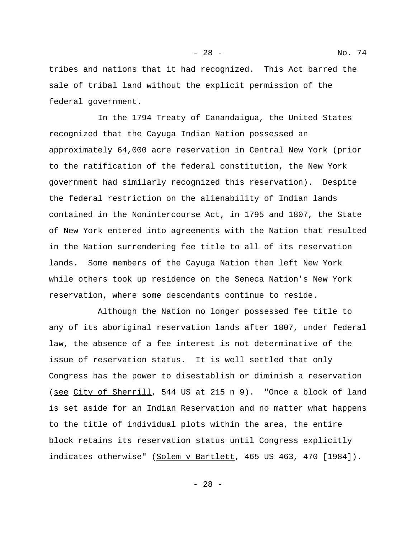tribes and nations that it had recognized. This Act barred the sale of tribal land without the explicit permission of the federal government.

In the 1794 Treaty of Canandaigua, the United States recognized that the Cayuga Indian Nation possessed an approximately 64,000 acre reservation in Central New York (prior to the ratification of the federal constitution, the New York government had similarly recognized this reservation). Despite the federal restriction on the alienability of Indian lands contained in the Nonintercourse Act, in 1795 and 1807, the State of New York entered into agreements with the Nation that resulted in the Nation surrendering fee title to all of its reservation lands. Some members of the Cayuga Nation then left New York while others took up residence on the Seneca Nation's New York reservation, where some descendants continue to reside.

Although the Nation no longer possessed fee title to any of its aboriginal reservation lands after 1807, under federal law, the absence of a fee interest is not determinative of the issue of reservation status. It is well settled that only Congress has the power to disestablish or diminish a reservation (see City of Sherrill, 544 US at 215 n 9). "Once a block of land is set aside for an Indian Reservation and no matter what happens to the title of individual plots within the area, the entire block retains its reservation status until Congress explicitly indicates otherwise" (Solem v Bartlett, 465 US 463, 470 [1984]).

- 28 - No. 74

- 28 -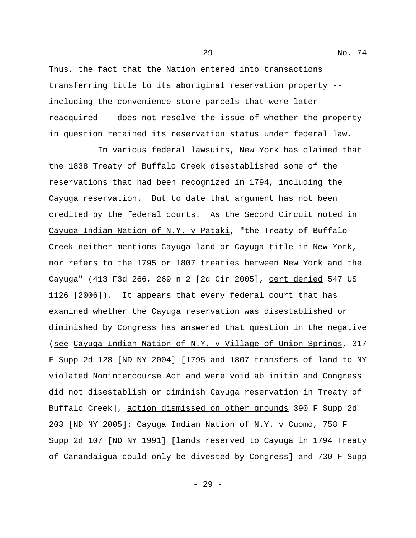Thus, the fact that the Nation entered into transactions transferring title to its aboriginal reservation property - including the convenience store parcels that were later reacquired -- does not resolve the issue of whether the property in question retained its reservation status under federal law.

In various federal lawsuits, New York has claimed that the 1838 Treaty of Buffalo Creek disestablished some of the reservations that had been recognized in 1794, including the Cayuga reservation. But to date that argument has not been credited by the federal courts. As the Second Circuit noted in Cayuga Indian Nation of N.Y. v Pataki, "the Treaty of Buffalo Creek neither mentions Cayuga land or Cayuga title in New York, nor refers to the 1795 or 1807 treaties between New York and the Cayuga" (413 F3d 266, 269 n 2 [2d Cir 2005], cert denied 547 US 1126 [2006]). It appears that every federal court that has examined whether the Cayuga reservation was disestablished or diminished by Congress has answered that question in the negative (see Cayuga Indian Nation of N.Y. v Village of Union Springs, 317 F Supp 2d 128 [ND NY 2004] [1795 and 1807 transfers of land to NY violated Nonintercourse Act and were void ab initio and Congress did not disestablish or diminish Cayuga reservation in Treaty of Buffalo Creek], action dismissed on other grounds 390 F Supp 2d 203 [ND NY 2005]; Cayuga Indian Nation of N.Y. v Cuomo, 758 F Supp 2d 107 [ND NY 1991] [lands reserved to Cayuga in 1794 Treaty of Canandaigua could only be divested by Congress] and 730 F Supp

- 29 - No. 74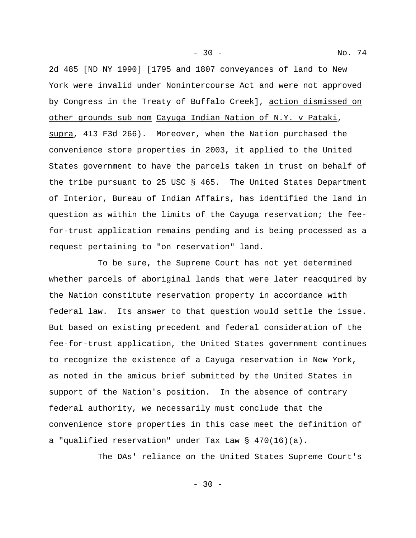- 30 - No. 74

2d 485 [ND NY 1990] [1795 and 1807 conveyances of land to New York were invalid under Nonintercourse Act and were not approved by Congress in the Treaty of Buffalo Creek], action dismissed on other grounds sub nom Cayuga Indian Nation of N.Y. v Pataki, supra, 413 F3d 266). Moreover, when the Nation purchased the convenience store properties in 2003, it applied to the United States government to have the parcels taken in trust on behalf of the tribe pursuant to 25 USC § 465. The United States Department of Interior, Bureau of Indian Affairs, has identified the land in question as within the limits of the Cayuga reservation; the feefor-trust application remains pending and is being processed as a request pertaining to "on reservation" land.

To be sure, the Supreme Court has not yet determined whether parcels of aboriginal lands that were later reacquired by the Nation constitute reservation property in accordance with federal law. Its answer to that question would settle the issue. But based on existing precedent and federal consideration of the fee-for-trust application, the United States government continues to recognize the existence of a Cayuga reservation in New York, as noted in the amicus brief submitted by the United States in support of the Nation's position. In the absence of contrary federal authority, we necessarily must conclude that the convenience store properties in this case meet the definition of a "qualified reservation" under Tax Law § 470(16)(a).

The DAs' reliance on the United States Supreme Court's

 $-30 -$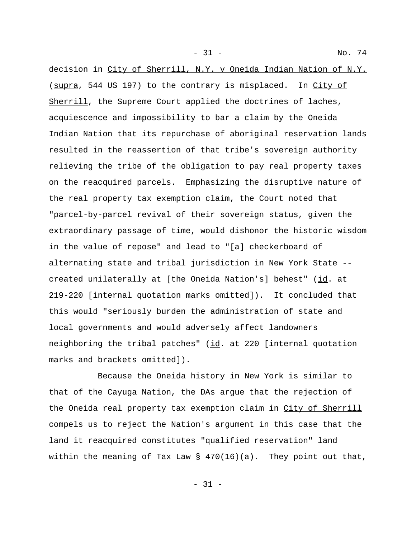decision in City of Sherrill, N.Y. v Oneida Indian Nation of N.Y. (supra, 544 US 197) to the contrary is misplaced. In City of Sherrill, the Supreme Court applied the doctrines of laches, acquiescence and impossibility to bar a claim by the Oneida Indian Nation that its repurchase of aboriginal reservation lands resulted in the reassertion of that tribe's sovereign authority relieving the tribe of the obligation to pay real property taxes on the reacquired parcels. Emphasizing the disruptive nature of the real property tax exemption claim, the Court noted that "parcel-by-parcel revival of their sovereign status, given the extraordinary passage of time, would dishonor the historic wisdom in the value of repose" and lead to "[a] checkerboard of alternating state and tribal jurisdiction in New York State - created unilaterally at [the Oneida Nation's] behest" (id. at 219-220 [internal quotation marks omitted]). It concluded that this would "seriously burden the administration of state and local governments and would adversely affect landowners neighboring the tribal patches" (id. at 220 [internal quotation marks and brackets omitted]).

Because the Oneida history in New York is similar to that of the Cayuga Nation, the DAs argue that the rejection of the Oneida real property tax exemption claim in City of Sherrill compels us to reject the Nation's argument in this case that the land it reacquired constitutes "qualified reservation" land within the meaning of Tax Law  $\S$  470(16)(a). They point out that,

- 31 -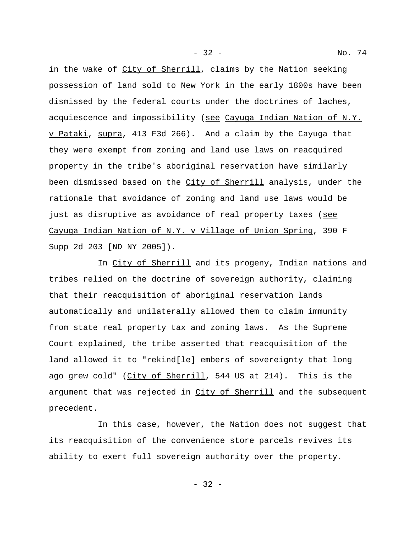in the wake of City of Sherrill, claims by the Nation seeking possession of land sold to New York in the early 1800s have been dismissed by the federal courts under the doctrines of laches, acquiescence and impossibility (see Cayuga Indian Nation of N.Y. v Pataki, supra, 413 F3d 266). And a claim by the Cayuga that they were exempt from zoning and land use laws on reacquired property in the tribe's aboriginal reservation have similarly been dismissed based on the City of Sherrill analysis, under the rationale that avoidance of zoning and land use laws would be just as disruptive as avoidance of real property taxes (see Cayuga Indian Nation of N.Y. v Village of Union Spring, 390 F Supp 2d 203 [ND NY 2005]).

In City of Sherrill and its progeny, Indian nations and tribes relied on the doctrine of sovereign authority, claiming that their reacquisition of aboriginal reservation lands automatically and unilaterally allowed them to claim immunity from state real property tax and zoning laws. As the Supreme Court explained, the tribe asserted that reacquisition of the land allowed it to "rekind[le] embers of sovereignty that long ago grew cold" (City of Sherrill, 544 US at 214). This is the argument that was rejected in City of Sherrill and the subsequent precedent.

In this case, however, the Nation does not suggest that its reacquisition of the convenience store parcels revives its ability to exert full sovereign authority over the property.

- 32 -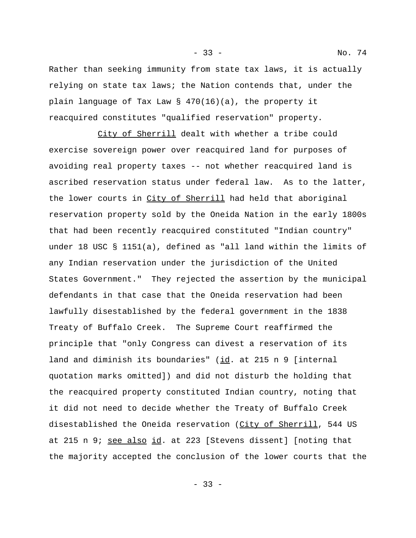Rather than seeking immunity from state tax laws, it is actually relying on state tax laws; the Nation contends that, under the plain language of Tax Law § 470(16)(a), the property it reacquired constitutes "qualified reservation" property.

City of Sherrill dealt with whether a tribe could exercise sovereign power over reacquired land for purposes of avoiding real property taxes -- not whether reacquired land is ascribed reservation status under federal law. As to the latter, the lower courts in City of Sherrill had held that aboriginal reservation property sold by the Oneida Nation in the early 1800s that had been recently reacquired constituted "Indian country" under 18 USC § 1151(a), defined as "all land within the limits of any Indian reservation under the jurisdiction of the United States Government." They rejected the assertion by the municipal defendants in that case that the Oneida reservation had been lawfully disestablished by the federal government in the 1838 Treaty of Buffalo Creek. The Supreme Court reaffirmed the principle that "only Congress can divest a reservation of its land and diminish its boundaries" (id. at 215 n 9 [internal quotation marks omitted]) and did not disturb the holding that the reacquired property constituted Indian country, noting that it did not need to decide whether the Treaty of Buffalo Creek disestablished the Oneida reservation (City of Sherrill, 544 US at 215 n 9; see also id. at 223 [Stevens dissent] [noting that the majority accepted the conclusion of the lower courts that the

- 33 - No. 74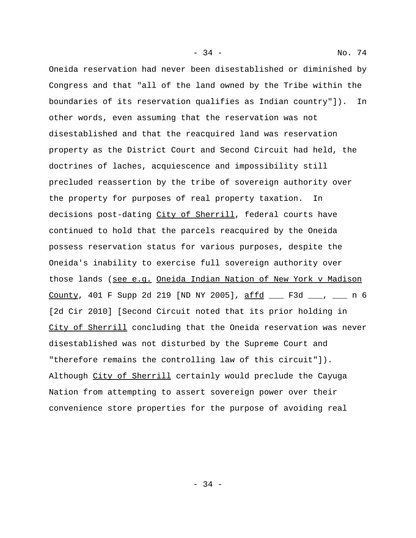- 34 - No. 74

Oneida reservation had never been disestablished or diminished by Congress and that "all of the land owned by the Tribe within the boundaries of its reservation qualifies as Indian country"]). In other words, even assuming that the reservation was not disestablished and that the reacquired land was reservation property as the District Court and Second Circuit had held, the doctrines of laches, acquiescence and impossibility still precluded reassertion by the tribe of sovereign authority over the property for purposes of real property taxation. In decisions post-dating City of Sherrill, federal courts have continued to hold that the parcels reacquired by the Oneida possess reservation status for various purposes, despite the Oneida's inability to exercise full sovereign authority over those lands (see e.g. Oneida Indian Nation of New York v Madison County, 401 F Supp 2d 219 [ND NY 2005], affd \_\_\_ F3d \_\_\_, \_\_\_ n 6 [2d Cir 2010] [Second Circuit noted that its prior holding in City of Sherrill concluding that the Oneida reservation was never disestablished was not disturbed by the Supreme Court and "therefore remains the controlling law of this circuit"]). Although City of Sherrill certainly would preclude the Cayuga Nation from attempting to assert sovereign power over their convenience store properties for the purpose of avoiding real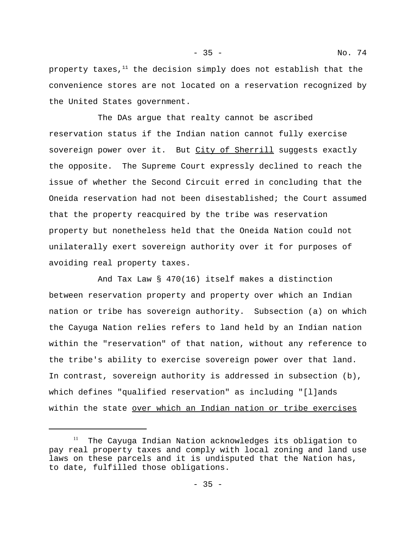- 35 - No. 74

property taxes, $11$  the decision simply does not establish that the convenience stores are not located on a reservation recognized by the United States government.

The DAs argue that realty cannot be ascribed reservation status if the Indian nation cannot fully exercise sovereign power over it. But City of Sherrill suggests exactly the opposite. The Supreme Court expressly declined to reach the issue of whether the Second Circuit erred in concluding that the Oneida reservation had not been disestablished; the Court assumed that the property reacquired by the tribe was reservation property but nonetheless held that the Oneida Nation could not unilaterally exert sovereign authority over it for purposes of avoiding real property taxes.

And Tax Law § 470(16) itself makes a distinction between reservation property and property over which an Indian nation or tribe has sovereign authority. Subsection (a) on which the Cayuga Nation relies refers to land held by an Indian nation within the "reservation" of that nation, without any reference to the tribe's ability to exercise sovereign power over that land. In contrast, sovereign authority is addressed in subsection (b), which defines "qualified reservation" as including "[l]ands within the state over which an Indian nation or tribe exercises

 $11$  The Cayuga Indian Nation acknowledges its obligation to pay real property taxes and comply with local zoning and land use laws on these parcels and it is undisputed that the Nation has, to date, fulfilled those obligations.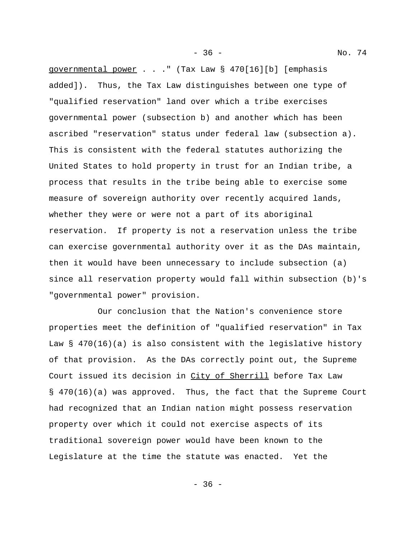governmental power . . ." (Tax Law § 470[16][b] [emphasis added]). Thus, the Tax Law distinguishes between one type of "qualified reservation" land over which a tribe exercises governmental power (subsection b) and another which has been ascribed "reservation" status under federal law (subsection a). This is consistent with the federal statutes authorizing the United States to hold property in trust for an Indian tribe, a process that results in the tribe being able to exercise some measure of sovereign authority over recently acquired lands, whether they were or were not a part of its aboriginal reservation. If property is not a reservation unless the tribe can exercise governmental authority over it as the DAs maintain, then it would have been unnecessary to include subsection (a) since all reservation property would fall within subsection (b)'s "governmental power" provision.

Our conclusion that the Nation's convenience store properties meet the definition of "qualified reservation" in Tax Law  $\S$  470(16)(a) is also consistent with the legislative history of that provision. As the DAs correctly point out, the Supreme Court issued its decision in City of Sherrill before Tax Law § 470(16)(a) was approved. Thus, the fact that the Supreme Court had recognized that an Indian nation might possess reservation property over which it could not exercise aspects of its traditional sovereign power would have been known to the Legislature at the time the statute was enacted. Yet the

- 36 - No. 74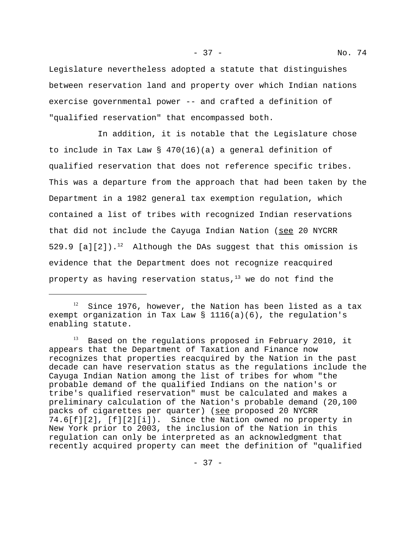Legislature nevertheless adopted a statute that distinguishes between reservation land and property over which Indian nations exercise governmental power -- and crafted a definition of "qualified reservation" that encompassed both.

In addition, it is notable that the Legislature chose to include in Tax Law § 470(16)(a) a general definition of qualified reservation that does not reference specific tribes. This was a departure from the approach that had been taken by the Department in a 1982 general tax exemption regulation, which contained a list of tribes with recognized Indian reservations that did not include the Cayuga Indian Nation (see 20 NYCRR 529.9  $[a][2]$ ).<sup>12</sup> Although the DAs suggest that this omission is evidence that the Department does not recognize reacquired property as having reservation status, $13$  we do not find the

 $12$  Since 1976, however, the Nation has been listed as a tax exempt organization in Tax Law § 1116(a)(6), the regulation's enabling statute.

Based on the regulations proposed in February 2010, it appears that the Department of Taxation and Finance now recognizes that properties reacquired by the Nation in the past decade can have reservation status as the regulations include the Cayuga Indian Nation among the list of tribes for whom "the probable demand of the qualified Indians on the nation's or tribe's qualified reservation" must be calculated and makes a preliminary calculation of the Nation's probable demand (20,100 packs of cigarettes per quarter) (see proposed 20 NYCRR 74.6[f][2], [f][2][i]). Since the Nation owned no property in New York prior to 2003, the inclusion of the Nation in this regulation can only be interpreted as an acknowledgment that recently acquired property can meet the definition of "qualified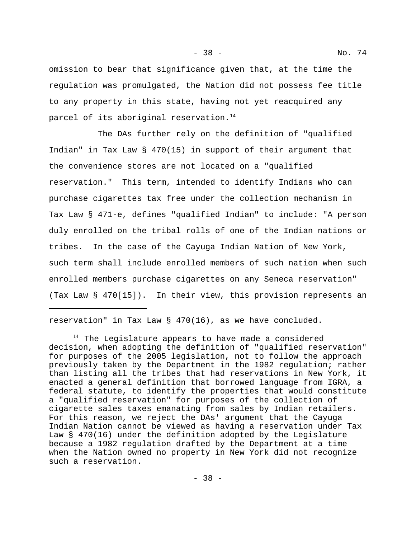- 38 - No. 74

omission to bear that significance given that, at the time the regulation was promulgated, the Nation did not possess fee title to any property in this state, having not yet reacquired any parcel of its aboriginal reservation.<sup>14</sup>

The DAs further rely on the definition of "qualified Indian" in Tax Law § 470(15) in support of their argument that the convenience stores are not located on a "qualified reservation." This term, intended to identify Indians who can purchase cigarettes tax free under the collection mechanism in Tax Law § 471-e, defines "qualified Indian" to include: "A person duly enrolled on the tribal rolls of one of the Indian nations or tribes. In the case of the Cayuga Indian Nation of New York, such term shall include enrolled members of such nation when such enrolled members purchase cigarettes on any Seneca reservation" (Tax Law § 470[15]). In their view, this provision represents an

reservation" in Tax Law § 470(16), as we have concluded.

<sup>&</sup>lt;sup>14</sup> The Legislature appears to have made a considered decision, when adopting the definition of "qualified reservation" for purposes of the 2005 legislation, not to follow the approach previously taken by the Department in the 1982 regulation; rather than listing all the tribes that had reservations in New York, it enacted a general definition that borrowed language from IGRA, a federal statute, to identify the properties that would constitute a "qualified reservation" for purposes of the collection of cigarette sales taxes emanating from sales by Indian retailers. For this reason, we reject the DAs' argument that the Cayuga Indian Nation cannot be viewed as having a reservation under Tax Law § 470(16) under the definition adopted by the Legislature because a 1982 regulation drafted by the Department at a time when the Nation owned no property in New York did not recognize such a reservation.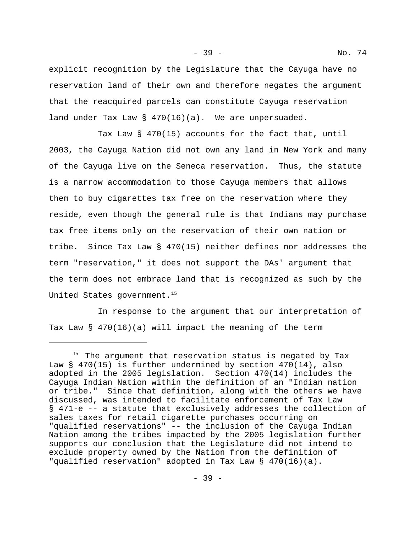explicit recognition by the Legislature that the Cayuga have no reservation land of their own and therefore negates the argument that the reacquired parcels can constitute Cayuga reservation land under Tax Law  $\S$  470(16)(a). We are unpersuaded.

Tax Law § 470(15) accounts for the fact that, until 2003, the Cayuga Nation did not own any land in New York and many of the Cayuga live on the Seneca reservation. Thus, the statute is a narrow accommodation to those Cayuga members that allows them to buy cigarettes tax free on the reservation where they reside, even though the general rule is that Indians may purchase tax free items only on the reservation of their own nation or tribe. Since Tax Law § 470(15) neither defines nor addresses the term "reservation," it does not support the DAs' argument that the term does not embrace land that is recognized as such by the United States government.<sup>15</sup>

In response to the argument that our interpretation of Tax Law § 470(16)(a) will impact the meaning of the term

<sup>&</sup>lt;sup>15</sup> The argument that reservation status is negated by Tax Law § 470(15) is further undermined by section 470(14), also adopted in the 2005 legislation. Section 470(14) includes the Cayuga Indian Nation within the definition of an "Indian nation or tribe." Since that definition, along with the others we have discussed, was intended to facilitate enforcement of Tax Law § 471-e -- a statute that exclusively addresses the collection of sales taxes for retail cigarette purchases occurring on "qualified reservations" -- the inclusion of the Cayuga Indian Nation among the tribes impacted by the 2005 legislation further supports our conclusion that the Legislature did not intend to exclude property owned by the Nation from the definition of "qualified reservation" adopted in Tax Law § 470(16)(a).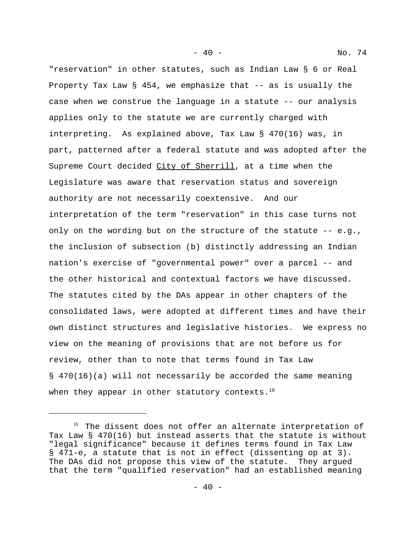- 40 - No. 74

"reservation" in other statutes, such as Indian Law § 6 or Real Property Tax Law § 454, we emphasize that -- as is usually the case when we construe the language in a statute -- our analysis applies only to the statute we are currently charged with interpreting. As explained above, Tax Law § 470(16) was, in part, patterned after a federal statute and was adopted after the Supreme Court decided City of Sherrill, at a time when the Legislature was aware that reservation status and sovereign authority are not necessarily coextensive. And our interpretation of the term "reservation" in this case turns not only on the wording but on the structure of the statute  $-$  e.g., the inclusion of subsection (b) distinctly addressing an Indian nation's exercise of "governmental power" over a parcel -- and the other historical and contextual factors we have discussed. The statutes cited by the DAs appear in other chapters of the consolidated laws, were adopted at different times and have their own distinct structures and legislative histories. We express no view on the meaning of provisions that are not before us for review, other than to note that terms found in Tax Law § 470(16)(a) will not necessarily be accorded the same meaning when they appear in other statutory contexts. $16$ 

<sup>&</sup>lt;sup>16</sup> The dissent does not offer an alternate interpretation of Tax Law § 470(16) but instead asserts that the statute is without "legal significance" because it defines terms found in Tax Law § 471-e, a statute that is not in effect (dissenting op at 3). The DAs did not propose this view of the statute. They argued that the term "qualified reservation" had an established meaning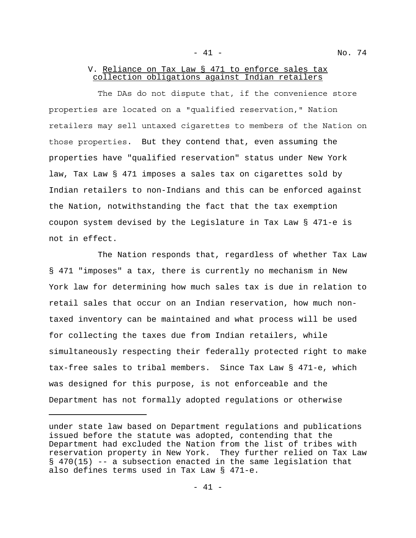- 41 - No. 74

## V. Reliance on Tax Law § 471 to enforce sales tax collection obligations against Indian retailers

The DAs do not dispute that, if the convenience store properties are located on a "qualified reservation," Nation retailers may sell untaxed cigarettes to members of the Nation on those properties. But they contend that, even assuming the properties have "qualified reservation" status under New York law, Tax Law § 471 imposes a sales tax on cigarettes sold by Indian retailers to non-Indians and this can be enforced against the Nation, notwithstanding the fact that the tax exemption coupon system devised by the Legislature in Tax Law § 471-e is not in effect.

The Nation responds that, regardless of whether Tax Law § 471 "imposes" a tax, there is currently no mechanism in New York law for determining how much sales tax is due in relation to retail sales that occur on an Indian reservation, how much nontaxed inventory can be maintained and what process will be used for collecting the taxes due from Indian retailers, while simultaneously respecting their federally protected right to make tax-free sales to tribal members. Since Tax Law § 471-e, which was designed for this purpose, is not enforceable and the Department has not formally adopted regulations or otherwise

under state law based on Department regulations and publications issued before the statute was adopted, contending that the Department had excluded the Nation from the list of tribes with reservation property in New York. They further relied on Tax Law § 470(15) -- a subsection enacted in the same legislation that also defines terms used in Tax Law § 471-e.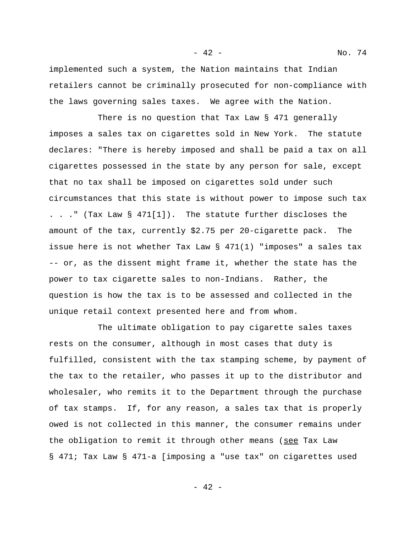implemented such a system, the Nation maintains that Indian retailers cannot be criminally prosecuted for non-compliance with the laws governing sales taxes. We agree with the Nation.

There is no question that Tax Law  $\S$  471 generally imposes a sales tax on cigarettes sold in New York. The statute declares: "There is hereby imposed and shall be paid a tax on all cigarettes possessed in the state by any person for sale, except that no tax shall be imposed on cigarettes sold under such circumstances that this state is without power to impose such tax . . ." (Tax Law  $\S$  471[1]). The statute further discloses the amount of the tax, currently \$2.75 per 20-cigarette pack. The issue here is not whether Tax Law § 471(1) "imposes" a sales tax -- or, as the dissent might frame it, whether the state has the power to tax cigarette sales to non-Indians. Rather, the question is how the tax is to be assessed and collected in the unique retail context presented here and from whom.

The ultimate obligation to pay cigarette sales taxes rests on the consumer, although in most cases that duty is fulfilled, consistent with the tax stamping scheme, by payment of the tax to the retailer, who passes it up to the distributor and wholesaler, who remits it to the Department through the purchase of tax stamps. If, for any reason, a sales tax that is properly owed is not collected in this manner, the consumer remains under the obligation to remit it through other means (see Tax Law § 471; Tax Law § 471-a [imposing a "use tax" on cigarettes used

- 42 - No. 74

- 42 -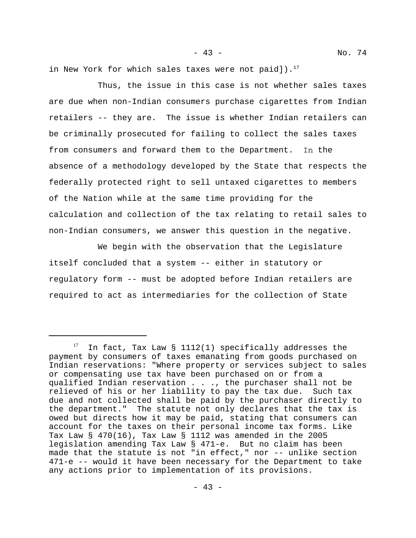in New York for which sales taxes were not paid]). $^{17}$ 

Thus, the issue in this case is not whether sales taxes are due when non-Indian consumers purchase cigarettes from Indian retailers -- they are. The issue is whether Indian retailers can be criminally prosecuted for failing to collect the sales taxes from consumers and forward them to the Department. In the absence of a methodology developed by the State that respects the federally protected right to sell untaxed cigarettes to members of the Nation while at the same time providing for the calculation and collection of the tax relating to retail sales to non-Indian consumers, we answer this question in the negative.

We begin with the observation that the Legislature itself concluded that a system -- either in statutory or regulatory form -- must be adopted before Indian retailers are required to act as intermediaries for the collection of State

 $17$  In fact, Tax Law § 1112(1) specifically addresses the payment by consumers of taxes emanating from goods purchased on Indian reservations: "Where property or services subject to sales or compensating use tax have been purchased on or from a qualified Indian reservation . . ., the purchaser shall not be relieved of his or her liability to pay the tax due. Such tax due and not collected shall be paid by the purchaser directly to the department." The statute not only declares that the tax is owed but directs how it may be paid, stating that consumers can account for the taxes on their personal income tax forms. Like Tax Law § 470(16), Tax Law § 1112 was amended in the 2005 legislation amending Tax Law § 471-e. But no claim has been made that the statute is not "in effect," nor -- unlike section 471-e -- would it have been necessary for the Department to take any actions prior to implementation of its provisions.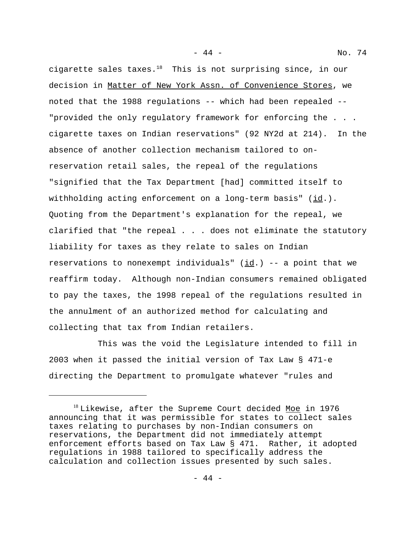cigarette sales taxes.<sup>18</sup> This is not surprising since, in our decision in Matter of New York Assn. of Convenience Stores, we noted that the 1988 regulations -- which had been repealed -- "provided the only regulatory framework for enforcing the . . . cigarette taxes on Indian reservations" (92 NY2d at 214). In the absence of another collection mechanism tailored to onreservation retail sales, the repeal of the regulations "signified that the Tax Department [had] committed itself to withholding acting enforcement on a long-term basis" (id.). Quoting from the Department's explanation for the repeal, we clarified that "the repeal . . . does not eliminate the statutory liability for taxes as they relate to sales on Indian reservations to nonexempt individuals" ( $\text{id}$ .) -- a point that we reaffirm today. Although non-Indian consumers remained obligated to pay the taxes, the 1998 repeal of the regulations resulted in the annulment of an authorized method for calculating and collecting that tax from Indian retailers.

- 44 - No. 74

This was the void the Legislature intended to fill in 2003 when it passed the initial version of Tax Law § 471-e directing the Department to promulgate whatever "rules and

<sup>&</sup>lt;sup>18</sup> Likewise, after the Supreme Court decided Moe in 1976 announcing that it was permissible for states to collect sales taxes relating to purchases by non-Indian consumers on reservations, the Department did not immediately attempt enforcement efforts based on Tax Law § 471. Rather, it adopted regulations in 1988 tailored to specifically address the calculation and collection issues presented by such sales.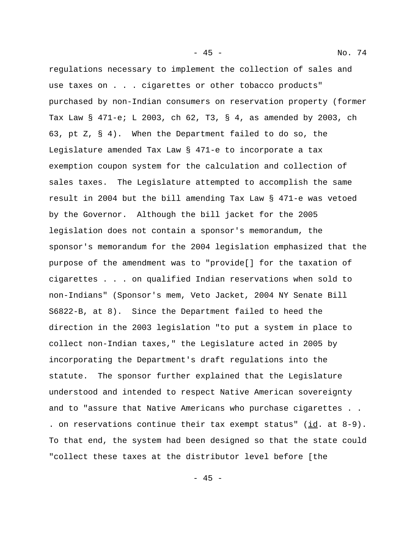regulations necessary to implement the collection of sales and use taxes on . . . cigarettes or other tobacco products" purchased by non-Indian consumers on reservation property (former Tax Law § 471-e; L 2003, ch 62, T3, § 4, as amended by 2003, ch 63, pt Z, § 4). When the Department failed to do so, the Legislature amended Tax Law § 471-e to incorporate a tax exemption coupon system for the calculation and collection of sales taxes. The Legislature attempted to accomplish the same result in 2004 but the bill amending Tax Law § 471-e was vetoed by the Governor. Although the bill jacket for the 2005 legislation does not contain a sponsor's memorandum, the sponsor's memorandum for the 2004 legislation emphasized that the purpose of the amendment was to "provide[] for the taxation of cigarettes . . . on qualified Indian reservations when sold to non-Indians" (Sponsor's mem, Veto Jacket, 2004 NY Senate Bill S6822-B, at 8). Since the Department failed to heed the direction in the 2003 legislation "to put a system in place to collect non-Indian taxes," the Legislature acted in 2005 by incorporating the Department's draft regulations into the statute. The sponsor further explained that the Legislature understood and intended to respect Native American sovereignty and to "assure that Native Americans who purchase cigarettes . . . on reservations continue their tax exempt status" ( $\underline{\text{id}}$ . at 8-9). To that end, the system had been designed so that the state could "collect these taxes at the distributor level before [the

- 45 - No. 74

- 45 -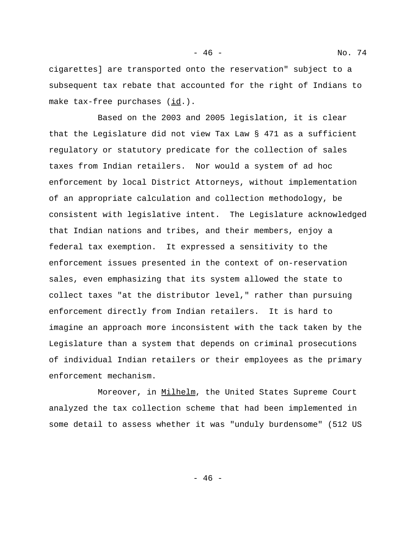- 46 - No. 74

cigarettes] are transported onto the reservation" subject to a subsequent tax rebate that accounted for the right of Indians to make tax-free purchases (id.).

Based on the 2003 and 2005 legislation, it is clear that the Legislature did not view Tax Law § 471 as a sufficient regulatory or statutory predicate for the collection of sales taxes from Indian retailers. Nor would a system of ad hoc enforcement by local District Attorneys, without implementation of an appropriate calculation and collection methodology, be consistent with legislative intent. The Legislature acknowledged that Indian nations and tribes, and their members, enjoy a federal tax exemption. It expressed a sensitivity to the enforcement issues presented in the context of on-reservation sales, even emphasizing that its system allowed the state to collect taxes "at the distributor level," rather than pursuing enforcement directly from Indian retailers. It is hard to imagine an approach more inconsistent with the tack taken by the Legislature than a system that depends on criminal prosecutions of individual Indian retailers or their employees as the primary enforcement mechanism.

Moreover, in Milhelm, the United States Supreme Court analyzed the tax collection scheme that had been implemented in some detail to assess whether it was "unduly burdensome" (512 US

- 46 -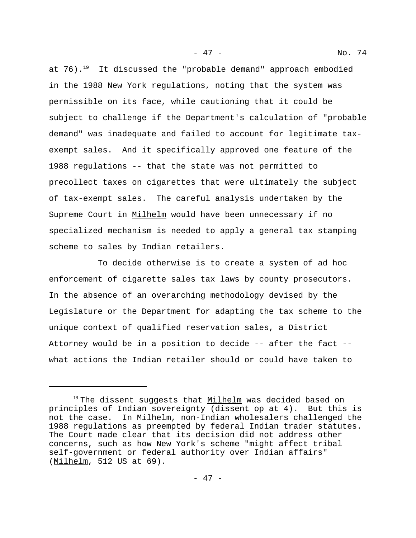at  $76$ ).<sup>19</sup> It discussed the "probable demand" approach embodied in the 1988 New York regulations, noting that the system was permissible on its face, while cautioning that it could be subject to challenge if the Department's calculation of "probable demand" was inadequate and failed to account for legitimate taxexempt sales. And it specifically approved one feature of the 1988 regulations -- that the state was not permitted to precollect taxes on cigarettes that were ultimately the subject of tax-exempt sales. The careful analysis undertaken by the Supreme Court in Milhelm would have been unnecessary if no specialized mechanism is needed to apply a general tax stamping scheme to sales by Indian retailers.

To decide otherwise is to create a system of ad hoc enforcement of cigarette sales tax laws by county prosecutors. In the absence of an overarching methodology devised by the Legislature or the Department for adapting the tax scheme to the unique context of qualified reservation sales, a District Attorney would be in a position to decide -- after the fact - what actions the Indian retailer should or could have taken to

- 47 - No. 74

<sup>&</sup>lt;sup>19</sup> The dissent suggests that Milhelm was decided based on principles of Indian sovereignty (dissent op at 4). But this is not the case. In Milhelm, non-Indian wholesalers challenged the 1988 regulations as preempted by federal Indian trader statutes. The Court made clear that its decision did not address other concerns, such as how New York's scheme "might affect tribal self-government or federal authority over Indian affairs" (Milhelm, 512 US at 69).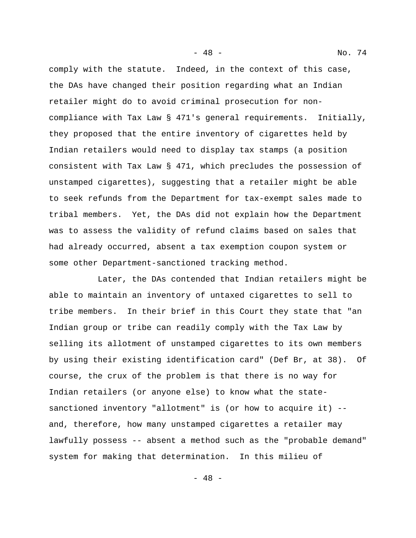comply with the statute. Indeed, in the context of this case, the DAs have changed their position regarding what an Indian retailer might do to avoid criminal prosecution for noncompliance with Tax Law § 471's general requirements. Initially, they proposed that the entire inventory of cigarettes held by Indian retailers would need to display tax stamps (a position consistent with Tax Law § 471, which precludes the possession of unstamped cigarettes), suggesting that a retailer might be able to seek refunds from the Department for tax-exempt sales made to tribal members. Yet, the DAs did not explain how the Department was to assess the validity of refund claims based on sales that had already occurred, absent a tax exemption coupon system or some other Department-sanctioned tracking method.

Later, the DAs contended that Indian retailers might be able to maintain an inventory of untaxed cigarettes to sell to tribe members. In their brief in this Court they state that "an Indian group or tribe can readily comply with the Tax Law by selling its allotment of unstamped cigarettes to its own members by using their existing identification card" (Def Br, at 38). Of course, the crux of the problem is that there is no way for Indian retailers (or anyone else) to know what the statesanctioned inventory "allotment" is (or how to acquire it) - and, therefore, how many unstamped cigarettes a retailer may lawfully possess -- absent a method such as the "probable demand" system for making that determination. In this milieu of

- 48 - No. 74

- 48 -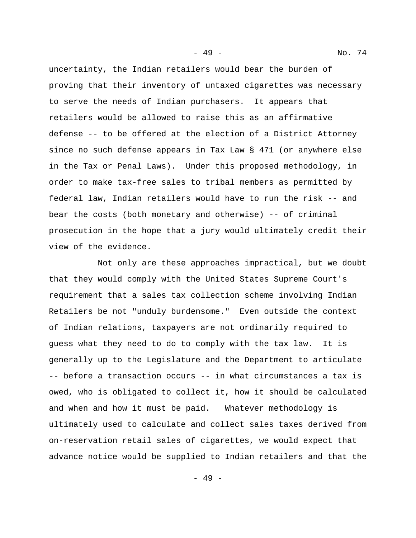uncertainty, the Indian retailers would bear the burden of proving that their inventory of untaxed cigarettes was necessary to serve the needs of Indian purchasers. It appears that retailers would be allowed to raise this as an affirmative defense -- to be offered at the election of a District Attorney since no such defense appears in Tax Law § 471 (or anywhere else in the Tax or Penal Laws). Under this proposed methodology, in order to make tax-free sales to tribal members as permitted by federal law, Indian retailers would have to run the risk -- and bear the costs (both monetary and otherwise) -- of criminal prosecution in the hope that a jury would ultimately credit their view of the evidence.

Not only are these approaches impractical, but we doubt that they would comply with the United States Supreme Court's requirement that a sales tax collection scheme involving Indian Retailers be not "unduly burdensome." Even outside the context of Indian relations, taxpayers are not ordinarily required to guess what they need to do to comply with the tax law. It is generally up to the Legislature and the Department to articulate -- before a transaction occurs -- in what circumstances a tax is owed, who is obligated to collect it, how it should be calculated and when and how it must be paid. Whatever methodology is ultimately used to calculate and collect sales taxes derived from on-reservation retail sales of cigarettes, we would expect that advance notice would be supplied to Indian retailers and that the

- 49 - No. 74

- 49 -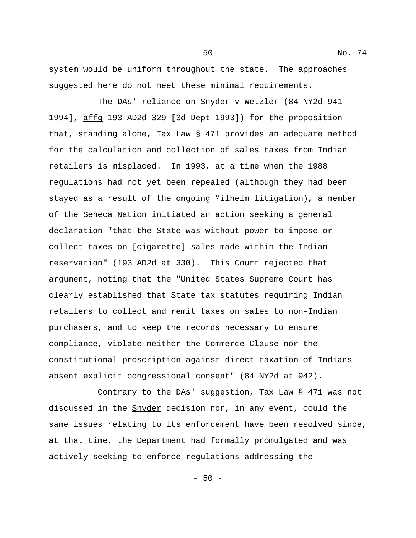system would be uniform throughout the state. The approaches suggested here do not meet these minimal requirements.

The DAs' reliance on Snyder v Wetzler (84 NY2d 941 1994], affg 193 AD2d 329 [3d Dept 1993]) for the proposition that, standing alone, Tax Law § 471 provides an adequate method for the calculation and collection of sales taxes from Indian retailers is misplaced. In 1993, at a time when the 1988 regulations had not yet been repealed (although they had been stayed as a result of the ongoing Milhelm litigation), a member of the Seneca Nation initiated an action seeking a general declaration "that the State was without power to impose or collect taxes on [cigarette] sales made within the Indian reservation" (193 AD2d at 330). This Court rejected that argument, noting that the "United States Supreme Court has clearly established that State tax statutes requiring Indian retailers to collect and remit taxes on sales to non-Indian purchasers, and to keep the records necessary to ensure compliance, violate neither the Commerce Clause nor the constitutional proscription against direct taxation of Indians absent explicit congressional consent" (84 NY2d at 942).

Contrary to the DAs' suggestion, Tax Law § 471 was not discussed in the Snyder decision nor, in any event, could the same issues relating to its enforcement have been resolved since, at that time, the Department had formally promulgated and was actively seeking to enforce regulations addressing the

- 50 -

- 50 - No. 74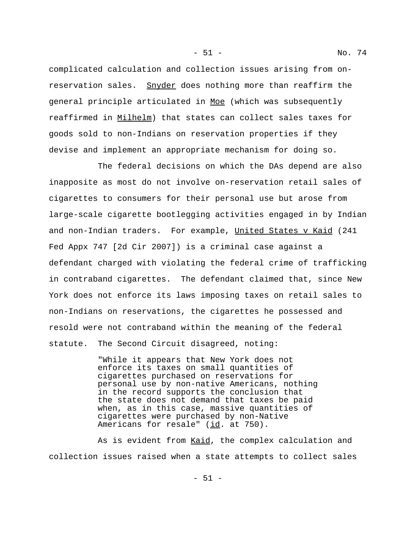complicated calculation and collection issues arising from onreservation sales. Snyder does nothing more than reaffirm the general principle articulated in Moe (which was subsequently reaffirmed in Milhelm) that states can collect sales taxes for goods sold to non-Indians on reservation properties if they devise and implement an appropriate mechanism for doing so.

The federal decisions on which the DAs depend are also inapposite as most do not involve on-reservation retail sales of cigarettes to consumers for their personal use but arose from large-scale cigarette bootlegging activities engaged in by Indian and non-Indian traders. For example, United States v Kaid (241 Fed Appx 747 [2d Cir 2007]) is a criminal case against a defendant charged with violating the federal crime of trafficking in contraband cigarettes. The defendant claimed that, since New York does not enforce its laws imposing taxes on retail sales to non-Indians on reservations, the cigarettes he possessed and resold were not contraband within the meaning of the federal statute. The Second Circuit disagreed, noting:

> "While it appears that New York does not enforce its taxes on small quantities of cigarettes purchased on reservations for personal use by non-native Americans, nothing in the record supports the conclusion that the state does not demand that taxes be paid when, as in this case, massive quantities of cigarettes were purchased by non-Native Americans for resale" (id. at 750).

As is evident from Kaid, the complex calculation and collection issues raised when a state attempts to collect sales

- 51 - No. 74

- 51 -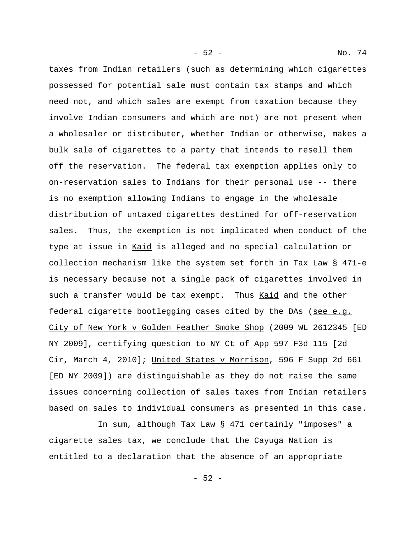taxes from Indian retailers (such as determining which cigarettes possessed for potential sale must contain tax stamps and which need not, and which sales are exempt from taxation because they involve Indian consumers and which are not) are not present when a wholesaler or distributer, whether Indian or otherwise, makes a bulk sale of cigarettes to a party that intends to resell them off the reservation. The federal tax exemption applies only to on-reservation sales to Indians for their personal use -- there is no exemption allowing Indians to engage in the wholesale distribution of untaxed cigarettes destined for off-reservation sales. Thus, the exemption is not implicated when conduct of the type at issue in Kaid is alleged and no special calculation or collection mechanism like the system set forth in Tax Law § 471-e is necessary because not a single pack of cigarettes involved in such a transfer would be tax exempt. Thus Kaid and the other federal cigarette bootlegging cases cited by the DAs (see e.g. City of New York v Golden Feather Smoke Shop (2009 WL 2612345 [ED NY 2009], certifying question to NY Ct of App 597 F3d 115 [2d Cir, March 4, 2010]; United States v Morrison, 596 F Supp 2d 661 [ED NY 2009]) are distinguishable as they do not raise the same issues concerning collection of sales taxes from Indian retailers based on sales to individual consumers as presented in this case.

In sum, although Tax Law § 471 certainly "imposes" a cigarette sales tax, we conclude that the Cayuga Nation is entitled to a declaration that the absence of an appropriate

- 52 -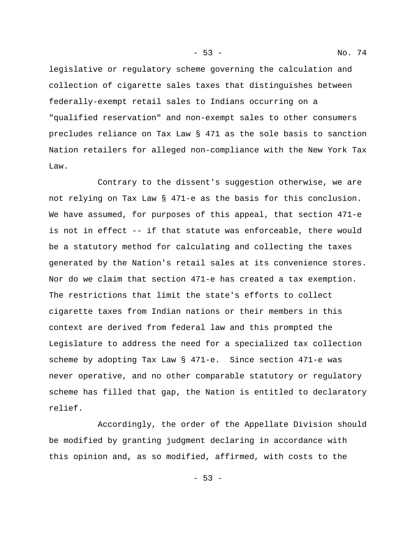legislative or regulatory scheme governing the calculation and collection of cigarette sales taxes that distinguishes between federally-exempt retail sales to Indians occurring on a "qualified reservation" and non-exempt sales to other consumers precludes reliance on Tax Law § 471 as the sole basis to sanction Nation retailers for alleged non-compliance with the New York Tax Law.

Contrary to the dissent's suggestion otherwise, we are not relying on Tax Law § 471-e as the basis for this conclusion. We have assumed, for purposes of this appeal, that section 471-e is not in effect -- if that statute was enforceable, there would be a statutory method for calculating and collecting the taxes generated by the Nation's retail sales at its convenience stores. Nor do we claim that section 471-e has created a tax exemption. The restrictions that limit the state's efforts to collect cigarette taxes from Indian nations or their members in this context are derived from federal law and this prompted the Legislature to address the need for a specialized tax collection scheme by adopting Tax Law § 471-e. Since section 471-e was never operative, and no other comparable statutory or regulatory scheme has filled that gap, the Nation is entitled to declaratory relief.

Accordingly, the order of the Appellate Division should be modified by granting judgment declaring in accordance with this opinion and, as so modified, affirmed, with costs to the

- 53 -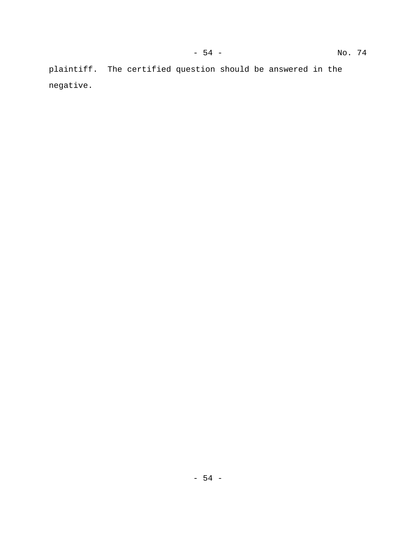plaintiff. The certified question should be answered in the negative.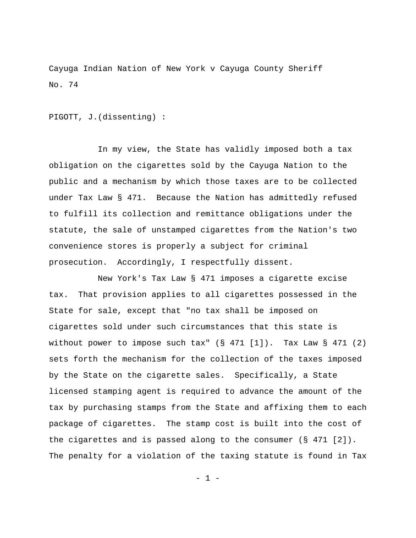Cayuga Indian Nation of New York v Cayuga County Sheriff No. 74

PIGOTT, J.(dissenting) :

In my view, the State has validly imposed both a tax obligation on the cigarettes sold by the Cayuga Nation to the public and a mechanism by which those taxes are to be collected under Tax Law § 471. Because the Nation has admittedly refused to fulfill its collection and remittance obligations under the statute, the sale of unstamped cigarettes from the Nation's two convenience stores is properly a subject for criminal prosecution. Accordingly, I respectfully dissent.

New York's Tax Law § 471 imposes a cigarette excise tax. That provision applies to all cigarettes possessed in the State for sale, except that "no tax shall be imposed on cigarettes sold under such circumstances that this state is without power to impose such tax"  $(S 471 [1])$ . Tax Law  $S 471 (2)$ sets forth the mechanism for the collection of the taxes imposed by the State on the cigarette sales. Specifically, a State licensed stamping agent is required to advance the amount of the tax by purchasing stamps from the State and affixing them to each package of cigarettes. The stamp cost is built into the cost of the cigarettes and is passed along to the consumer (§ 471 [2]). The penalty for a violation of the taxing statute is found in Tax

- 1 -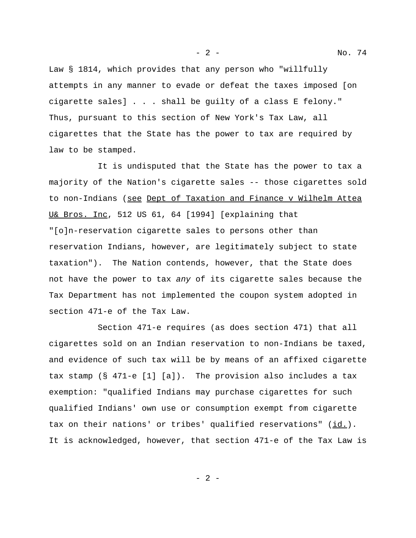Law § 1814, which provides that any person who "willfully attempts in any manner to evade or defeat the taxes imposed [on cigarette sales] . . . shall be guilty of a class E felony." Thus, pursuant to this section of New York's Tax Law, all cigarettes that the State has the power to tax are required by law to be stamped.

It is undisputed that the State has the power to tax a majority of the Nation's cigarette sales -- those cigarettes sold to non-Indians (see Dept of Taxation and Finance v Wilhelm Attea U& Bros. Inc, 512 US 61, 64 [1994] [explaining that "[o]n-reservation cigarette sales to persons other than reservation Indians, however, are legitimately subject to state taxation"). The Nation contends, however, that the State does not have the power to tax *any* of its cigarette sales because the Tax Department has not implemented the coupon system adopted in section 471-e of the Tax Law.

Section 471-e requires (as does section 471) that all cigarettes sold on an Indian reservation to non-Indians be taxed, and evidence of such tax will be by means of an affixed cigarette tax stamp (§ 471-e [1] [a]). The provision also includes a tax exemption: "qualified Indians may purchase cigarettes for such qualified Indians' own use or consumption exempt from cigarette tax on their nations' or tribes' qualified reservations" (id.). It is acknowledged, however, that section 471-e of the Tax Law is

- 2 -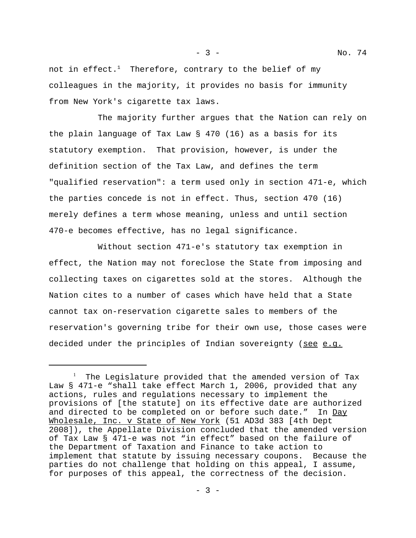not in effect.<sup>1</sup> Therefore, contrary to the belief of my colleagues in the majority, it provides no basis for immunity from New York's cigarette tax laws.

The majority further argues that the Nation can rely on the plain language of Tax Law § 470 (16) as a basis for its statutory exemption. That provision, however, is under the definition section of the Tax Law, and defines the term "qualified reservation": a term used only in section 471-e, which the parties concede is not in effect. Thus, section 470 (16) merely defines a term whose meaning, unless and until section 470-e becomes effective, has no legal significance.

Without section 471-e's statutory tax exemption in effect, the Nation may not foreclose the State from imposing and collecting taxes on cigarettes sold at the stores. Although the Nation cites to a number of cases which have held that a State cannot tax on-reservation cigarette sales to members of the reservation's governing tribe for their own use, those cases were decided under the principles of Indian sovereignty (see e.g.

<sup>&</sup>lt;sup>1</sup> The Legislature provided that the amended version of Tax Law § 471-e "shall take effect March 1, 2006, provided that any actions, rules and regulations necessary to implement the provisions of [the statute] on its effective date are authorized and directed to be completed on or before such date." In Day Wholesale, Inc. v State of New York (51 AD3d 383 [4th Dept 2008]), the Appellate Division concluded that the amended version of Tax Law § 471-e was not "in effect" based on the failure of the Department of Taxation and Finance to take action to implement that statute by issuing necessary coupons. Because the parties do not challenge that holding on this appeal, I assume, for purposes of this appeal, the correctness of the decision.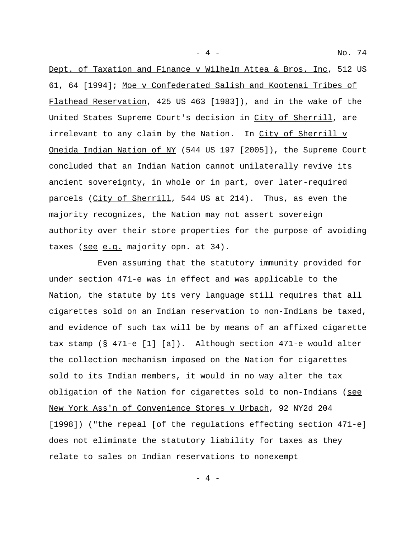Dept. of Taxation and Finance v Wilhelm Attea & Bros. Inc, 512 US 61, 64 [1994]; Moe v Confederated Salish and Kootenai Tribes of Flathead Reservation, 425 US 463 [1983]), and in the wake of the United States Supreme Court's decision in City of Sherrill, are irrelevant to any claim by the Nation. In City of Sherrill v Oneida Indian Nation of NY (544 US 197 [2005]), the Supreme Court concluded that an Indian Nation cannot unilaterally revive its ancient sovereignty, in whole or in part, over later-required parcels (City of Sherrill, 544 US at 214). Thus, as even the majority recognizes, the Nation may not assert sovereign authority over their store properties for the purpose of avoiding taxes (see e.g. majority opn. at 34).

Even assuming that the statutory immunity provided for under section 471-e was in effect and was applicable to the Nation, the statute by its very language still requires that all cigarettes sold on an Indian reservation to non-Indians be taxed, and evidence of such tax will be by means of an affixed cigarette tax stamp (§ 471-e [1] [a]). Although section 471-e would alter the collection mechanism imposed on the Nation for cigarettes sold to its Indian members, it would in no way alter the tax obligation of the Nation for cigarettes sold to non-Indians (see New York Ass'n of Convenience Stores v Urbach, 92 NY2d 204 [1998]) ("the repeal [of the regulations effecting section 471-e] does not eliminate the statutory liability for taxes as they relate to sales on Indian reservations to nonexempt

- 4 - No. 74

- 4 -